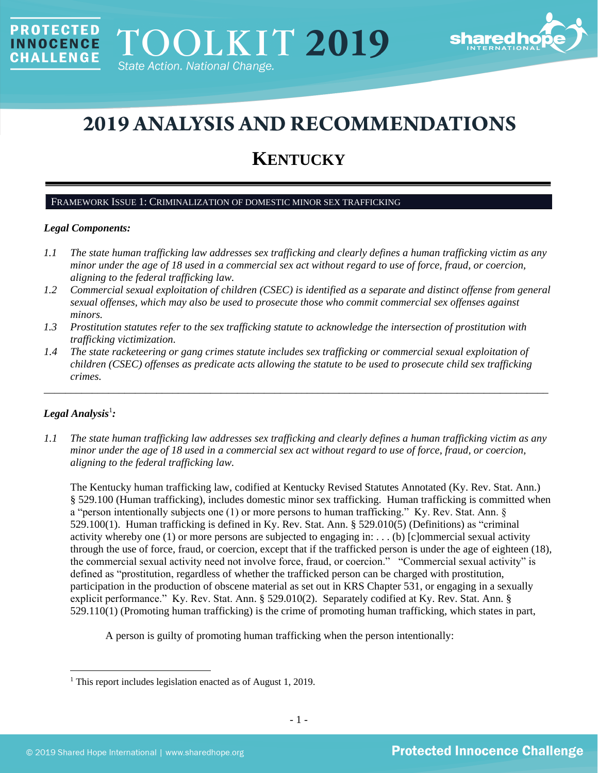

# **2019 ANALYSIS AND RECOMMENDATIONS**

## **KENTUCKY**

## FRAMEWORK ISSUE 1: CRIMINALIZATION OF DOMESTIC MINOR SEX TRAFFICKING

## *Legal Components:*

**PROTECTED** 

**INNOCENCE CHALLENGE** 

- *1.1 The state human trafficking law addresses sex trafficking and clearly defines a human trafficking victim as any minor under the age of 18 used in a commercial sex act without regard to use of force, fraud, or coercion, aligning to the federal trafficking law.*
- *1.2 Commercial sexual exploitation of children (CSEC) is identified as a separate and distinct offense from general sexual offenses, which may also be used to prosecute those who commit commercial sex offenses against minors.*
- *1.3 Prostitution statutes refer to the sex trafficking statute to acknowledge the intersection of prostitution with trafficking victimization.*
- *1.4 The state racketeering or gang crimes statute includes sex trafficking or commercial sexual exploitation of children (CSEC) offenses as predicate acts allowing the statute to be used to prosecute child sex trafficking crimes.*

\_\_\_\_\_\_\_\_\_\_\_\_\_\_\_\_\_\_\_\_\_\_\_\_\_\_\_\_\_\_\_\_\_\_\_\_\_\_\_\_\_\_\_\_\_\_\_\_\_\_\_\_\_\_\_\_\_\_\_\_\_\_\_\_\_\_\_\_\_\_\_\_\_\_\_\_\_\_\_\_\_\_\_\_\_\_\_\_\_\_\_\_\_\_

## ${\it Legal Analysis^!}$  *:*

*1.1 The state human trafficking law addresses sex trafficking and clearly defines a human trafficking victim as any minor under the age of 18 used in a commercial sex act without regard to use of force, fraud, or coercion, aligning to the federal trafficking law.*

The Kentucky human trafficking law, codified at Kentucky Revised Statutes Annotated (Ky. Rev. Stat. Ann.) § 529.100 (Human trafficking), includes domestic minor sex trafficking. Human trafficking is committed when a "person intentionally subjects one (1) or more persons to human trafficking." Ky. Rev. Stat. Ann. § 529.100(1). Human trafficking is defined in Ky. Rev. Stat. Ann. § 529.010(5) (Definitions) as "criminal activity whereby one (1) or more persons are subjected to engaging in: . . . (b) [c]ommercial sexual activity through the use of force, fraud, or coercion, except that if the trafficked person is under the age of eighteen (18), the commercial sexual activity need not involve force, fraud, or coercion." "Commercial sexual activity" is defined as "prostitution, regardless of whether the trafficked person can be charged with prostitution, participation in the production of obscene material as set out in KRS Chapter 531, or engaging in a sexually explicit performance." Ky. Rev. Stat. Ann. § 529.010(2). Separately codified at Ky. Rev. Stat. Ann. § 529.110(1) (Promoting human trafficking) is the crime of promoting human trafficking, which states in part,

A person is guilty of promoting human trafficking when the person intentionally:

<sup>&</sup>lt;sup>1</sup> This report includes legislation enacted as of August 1, 2019.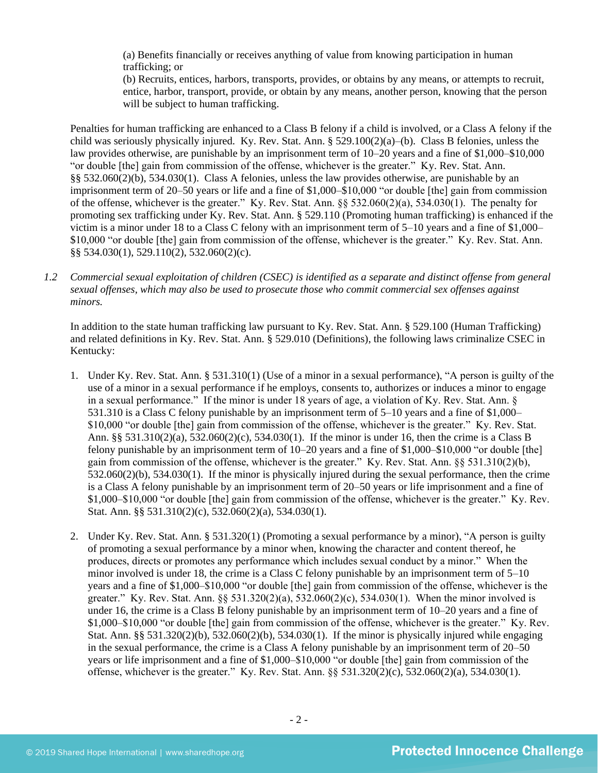(a) Benefits financially or receives anything of value from knowing participation in human trafficking; or

(b) Recruits, entices, harbors, transports, provides, or obtains by any means, or attempts to recruit, entice, harbor, transport, provide, or obtain by any means, another person, knowing that the person will be subject to human trafficking.

Penalties for human trafficking are enhanced to a Class B felony if a child is involved, or a Class A felony if the child was seriously physically injured. Ky. Rev. Stat. Ann. § 529.100(2)(a)–(b). Class B felonies, unless the law provides otherwise, are punishable by an imprisonment term of 10–20 years and a fine of \$1,000–\$10,000 "or double [the] gain from commission of the offense, whichever is the greater." Ky. Rev. Stat. Ann. §§ 532.060(2)(b), 534.030(1). Class A felonies, unless the law provides otherwise, are punishable by an imprisonment term of 20–50 years or life and a fine of \$1,000–\$10,000 "or double [the] gain from commission of the offense, whichever is the greater." Ky. Rev. Stat. Ann.  $\S$ § 532.060(2)(a), 534.030(1). The penalty for promoting sex trafficking under Ky. Rev. Stat. Ann. § 529.110 (Promoting human trafficking) is enhanced if the victim is a minor under 18 to a Class C felony with an imprisonment term of 5–10 years and a fine of \$1,000– \$10,000 "or double [the] gain from commission of the offense, whichever is the greater." Ky. Rev. Stat. Ann. §§ 534.030(1), 529.110(2), 532.060(2)(c).

*1.2 Commercial sexual exploitation of children (CSEC) is identified as a separate and distinct offense from general sexual offenses, which may also be used to prosecute those who commit commercial sex offenses against minors.*

In addition to the state human trafficking law pursuant to Ky. Rev. Stat. Ann. § 529.100 (Human Trafficking) and related definitions in Ky. Rev. Stat. Ann. § 529.010 (Definitions), the following laws criminalize CSEC in Kentucky:

- 1. Under Ky. Rev. Stat. Ann. § 531.310(1) (Use of a minor in a sexual performance), "A person is guilty of the use of a minor in a sexual performance if he employs, consents to, authorizes or induces a minor to engage in a sexual performance." If the minor is under 18 years of age, a violation of Ky. Rev. Stat. Ann. § 531.310 is a Class C felony punishable by an imprisonment term of 5–10 years and a fine of \$1,000– \$10,000 "or double [the] gain from commission of the offense, whichever is the greater." Ky. Rev. Stat. Ann. §§ 531.310(2)(a), 532.060(2)(c), 534.030(1). If the minor is under 16, then the crime is a Class B felony punishable by an imprisonment term of 10–20 years and a fine of \$1,000–\$10,000 "or double [the] gain from commission of the offense, whichever is the greater." Ky. Rev. Stat. Ann. §§ 531.310(2)(b), 532.060(2)(b), 534.030(1). If the minor is physically injured during the sexual performance, then the crime is a Class A felony punishable by an imprisonment term of 20–50 years or life imprisonment and a fine of \$1,000–\$10,000 "or double [the] gain from commission of the offense, whichever is the greater." Ky. Rev. Stat. Ann. §§ 531.310(2)(c), 532.060(2)(a), 534.030(1).
- 2. Under Ky. Rev. Stat. Ann. § 531.320(1) (Promoting a sexual performance by a minor), "A person is guilty of promoting a sexual performance by a minor when, knowing the character and content thereof, he produces, directs or promotes any performance which includes sexual conduct by a minor." When the minor involved is under 18, the crime is a Class C felony punishable by an imprisonment term of  $5-10$ years and a fine of \$1,000–\$10,000 "or double [the] gain from commission of the offense, whichever is the greater." Ky. Rev. Stat. Ann. §§ 531.320(2)(a), 532.060(2)(c), 534.030(1). When the minor involved is under 16, the crime is a Class B felony punishable by an imprisonment term of 10–20 years and a fine of \$1,000–\$10,000 "or double [the] gain from commission of the offense, whichever is the greater." Ky. Rev. Stat. Ann. §§ 531.320(2)(b), 532.060(2)(b), 534.030(1). If the minor is physically injured while engaging in the sexual performance, the crime is a Class A felony punishable by an imprisonment term of 20–50 years or life imprisonment and a fine of \$1,000–\$10,000 "or double [the] gain from commission of the offense, whichever is the greater." Ky. Rev. Stat. Ann. §§ 531.320(2)(c), 532.060(2)(a), 534.030(1).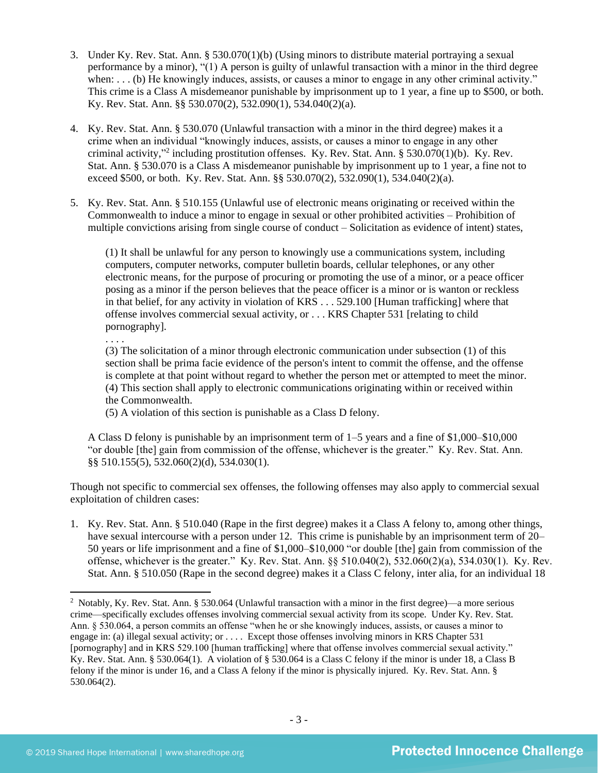- 3. Under Ky. Rev. Stat. Ann. § 530.070(1)(b) (Using minors to distribute material portraying a sexual performance by a minor), "(1) A person is guilty of unlawful transaction with a minor in the third degree when: . . . (b) He knowingly induces, assists, or causes a minor to engage in any other criminal activity." This crime is a Class A misdemeanor punishable by imprisonment up to 1 year, a fine up to \$500, or both. Ky. Rev. Stat. Ann. §§ 530.070(2), 532.090(1), 534.040(2)(a).
- 4. Ky. Rev. Stat. Ann. § 530.070 (Unlawful transaction with a minor in the third degree) makes it a crime when an individual "knowingly induces, assists, or causes a minor to engage in any other criminal activity," 2 including prostitution offenses. Ky. Rev. Stat. Ann. § 530.070(1)(b). Ky. Rev. Stat. Ann. § 530.070 is a Class A misdemeanor punishable by imprisonment up to 1 year, a fine not to exceed \$500, or both. Ky. Rev. Stat. Ann. §§ 530.070(2), 532.090(1), 534.040(2)(a).
- 5. Ky. Rev. Stat. Ann. § 510.155 (Unlawful use of electronic means originating or received within the Commonwealth to induce a minor to engage in sexual or other prohibited activities – Prohibition of multiple convictions arising from single course of conduct – Solicitation as evidence of intent) states,

(1) It shall be unlawful for any person to knowingly use a communications system, including computers, computer networks, computer bulletin boards, cellular telephones, or any other electronic means, for the purpose of procuring or promoting the use of a minor, or a peace officer posing as a minor if the person believes that the peace officer is a minor or is wanton or reckless in that belief, for any activity in violation of KRS . . . 529.100 [Human trafficking] where that offense involves commercial sexual activity, or . . . KRS Chapter 531 [relating to child pornography].

. . . .

(3) The solicitation of a minor through electronic communication under subsection (1) of this section shall be prima facie evidence of the person's intent to commit the offense, and the offense is complete at that point without regard to whether the person met or attempted to meet the minor. (4) This section shall apply to electronic communications originating within or received within the Commonwealth.

(5) A violation of this section is punishable as a Class D felony.

A Class D felony is punishable by an imprisonment term of 1–5 years and a fine of \$1,000–\$10,000 "or double [the] gain from commission of the offense, whichever is the greater." Ky. Rev. Stat. Ann. §§ 510.155(5), 532.060(2)(d), 534.030(1).

Though not specific to commercial sex offenses, the following offenses may also apply to commercial sexual exploitation of children cases:

1. Ky. Rev. Stat. Ann. § 510.040 (Rape in the first degree) makes it a Class A felony to, among other things, have sexual intercourse with a person under 12. This crime is punishable by an imprisonment term of 20– 50 years or life imprisonment and a fine of \$1,000–\$10,000 "or double [the] gain from commission of the offense, whichever is the greater." Ky. Rev. Stat. Ann. §§ 510.040(2), 532.060(2)(a), 534.030(1). Ky. Rev. Stat. Ann. § 510.050 (Rape in the second degree) makes it a Class C felony, inter alia, for an individual 18

<sup>&</sup>lt;sup>2</sup> Notably, Ky. Rev. Stat. Ann. § 530.064 (Unlawful transaction with a minor in the first degree)—a more serious crime—specifically excludes offenses involving commercial sexual activity from its scope. Under Ky. Rev. Stat. Ann. § 530.064, a person commits an offense "when he or she knowingly induces, assists, or causes a minor to engage in: (a) illegal sexual activity; or . . . . Except those offenses involving minors in KRS Chapter 531 [pornography] and in KRS 529.100 [human trafficking] where that offense involves commercial sexual activity." Ky. Rev. Stat. Ann. § 530.064(1). A violation of § 530.064 is a Class C felony if the minor is under 18, a Class B felony if the minor is under 16, and a Class A felony if the minor is physically injured. Ky. Rev. Stat. Ann. § 530.064(2).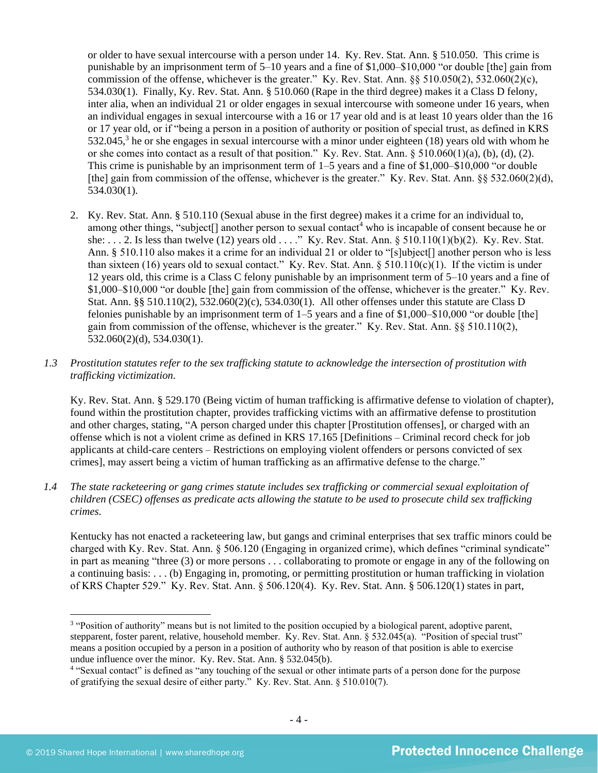<span id="page-3-0"></span>or older to have sexual intercourse with a person under 14. Ky. Rev. Stat. Ann. § 510.050. This crime is punishable by an imprisonment term of 5–10 years and a fine of \$1,000–\$10,000 "or double [the] gain from commission of the offense, whichever is the greater." Ky. Rev. Stat. Ann.  $\S$ § 510.050(2), 532.060(2)(c), 534.030(1). Finally, Ky. Rev. Stat. Ann. § 510.060 (Rape in the third degree) makes it a Class D felony, inter alia, when an individual 21 or older engages in sexual intercourse with someone under 16 years, when an individual engages in sexual intercourse with a 16 or 17 year old and is at least 10 years older than the 16 or 17 year old, or if "being a person in a position of authority or position of special trust, as defined in KRS  $532.045$ ,<sup>3</sup> he or she engages in sexual intercourse with a minor under eighteen (18) years old with whom he or she comes into contact as a result of that position." Ky. Rev. Stat. Ann. § 510.060(1)(a), (b), (d), (2). This crime is punishable by an imprisonment term of 1–5 years and a fine of \$1,000–\$10,000 "or double [the] gain from commission of the offense, whichever is the greater." Ky. Rev. Stat. Ann. §§ 532.060(2)(d), 534.030(1).

2. Ky. Rev. Stat. Ann. § 510.110 (Sexual abuse in the first degree) makes it a crime for an individual to, among other things, "subject<sup>[]</sup> another person to sexual contact<sup>4</sup> who is incapable of consent because he or she: . . . 2. Is less than twelve (12) years old . . . ." Ky. Rev. Stat. Ann. § 510.110(1)(b)(2). Ky. Rev. Stat. Ann. § 510.110 also makes it a crime for an individual 21 or older to "[s]ubject[] another person who is less than sixteen (16) years old to sexual contact." Ky. Rev. Stat. Ann.  $\S 510.110(c)(1)$ . If the victim is under 12 years old, this crime is a Class C felony punishable by an imprisonment term of 5–10 years and a fine of \$1,000–\$10,000 "or double [the] gain from commission of the offense, whichever is the greater." Ky. Rev. Stat. Ann. §§ 510.110(2), 532.060(2)(c), 534.030(1). All other offenses under this statute are Class D felonies punishable by an imprisonment term of  $1-5$  years and a fine of \$1,000–\$10,000 "or double [the] gain from commission of the offense, whichever is the greater." Ky. Rev. Stat. Ann. §§ 510.110(2), 532.060(2)(d), 534.030(1).

## *1.3 Prostitution statutes refer to the sex trafficking statute to acknowledge the intersection of prostitution with trafficking victimization.*

Ky. Rev. Stat. Ann. § 529.170 (Being victim of human trafficking is affirmative defense to violation of chapter), found within the prostitution chapter, provides trafficking victims with an affirmative defense to prostitution and other charges, stating, "A person charged under this chapter [Prostitution offenses], or charged with an offense which is not a violent crime as defined in KRS 17.165 [Definitions – Criminal record check for job applicants at child-care centers – Restrictions on employing violent offenders or persons convicted of sex crimes], may assert being a victim of human trafficking as an affirmative defense to the charge."

*1.4 The state racketeering or gang crimes statute includes sex trafficking or commercial sexual exploitation of children (CSEC) offenses as predicate acts allowing the statute to be used to prosecute child sex trafficking crimes.* 

Kentucky has not enacted a racketeering law, but gangs and criminal enterprises that sex traffic minors could be charged with Ky. Rev. Stat. Ann. § 506.120 (Engaging in organized crime), which defines "criminal syndicate" in part as meaning "three (3) or more persons . . . collaborating to promote or engage in any of the following on a continuing basis: . . . (b) Engaging in, promoting, or permitting prostitution or human trafficking in violation of KRS Chapter 529." Ky. Rev. Stat. Ann. § 506.120(4). Ky. Rev. Stat. Ann. § 506.120(1) states in part,

<sup>&</sup>lt;sup>3</sup> "Position of authority" means but is not limited to the position occupied by a biological parent, adoptive parent, stepparent, foster parent, relative, household member. Ky. Rev. Stat. Ann. § 532.045(a). "Position of special trust" means a position occupied by a person in a position of authority who by reason of that position is able to exercise undue influence over the minor. Ky. Rev. Stat. Ann. § 532.045(b).

<sup>&</sup>lt;sup>4</sup> "Sexual contact" is defined as "any touching of the sexual or other intimate parts of a person done for the purpose of gratifying the sexual desire of either party." Ky. Rev. Stat. Ann. § 510.010(7).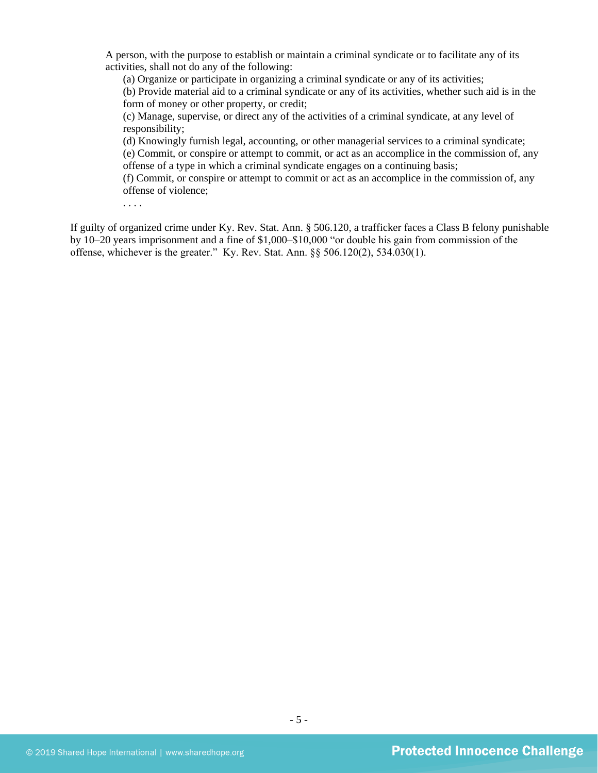A person, with the purpose to establish or maintain a criminal syndicate or to facilitate any of its activities, shall not do any of the following:

(a) Organize or participate in organizing a criminal syndicate or any of its activities;

(b) Provide material aid to a criminal syndicate or any of its activities, whether such aid is in the form of money or other property, or credit;

(c) Manage, supervise, or direct any of the activities of a criminal syndicate, at any level of responsibility;

(d) Knowingly furnish legal, accounting, or other managerial services to a criminal syndicate; (e) Commit, or conspire or attempt to commit, or act as an accomplice in the commission of, any offense of a type in which a criminal syndicate engages on a continuing basis;

(f) Commit, or conspire or attempt to commit or act as an accomplice in the commission of, any offense of violence;

. . . .

If guilty of organized crime under Ky. Rev. Stat. Ann. § 506.120, a trafficker faces a Class B felony punishable by 10–20 years imprisonment and a fine of \$1,000–\$10,000 "or double his gain from commission of the offense, whichever is the greater." Ky. Rev. Stat. Ann. §§ 506.120(2), 534.030(1).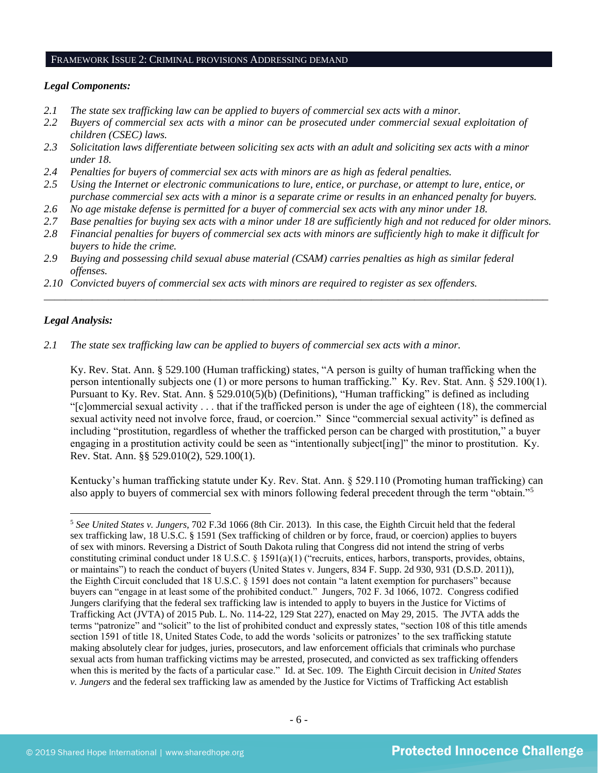#### FRAMEWORK ISSUE 2: CRIMINAL PROVISIONS ADDRESSING DEMAND

## *Legal Components:*

- *2.1 The state sex trafficking law can be applied to buyers of commercial sex acts with a minor.*
- *2.2 Buyers of commercial sex acts with a minor can be prosecuted under commercial sexual exploitation of children (CSEC) laws.*
- *2.3 Solicitation laws differentiate between soliciting sex acts with an adult and soliciting sex acts with a minor under 18.*
- *2.4 Penalties for buyers of commercial sex acts with minors are as high as federal penalties.*
- *2.5 Using the Internet or electronic communications to lure, entice, or purchase, or attempt to lure, entice, or purchase commercial sex acts with a minor is a separate crime or results in an enhanced penalty for buyers.*
- *2.6 No age mistake defense is permitted for a buyer of commercial sex acts with any minor under 18.*
- *2.7 Base penalties for buying sex acts with a minor under 18 are sufficiently high and not reduced for older minors.*
- *2.8 Financial penalties for buyers of commercial sex acts with minors are sufficiently high to make it difficult for buyers to hide the crime.*

\_\_\_\_\_\_\_\_\_\_\_\_\_\_\_\_\_\_\_\_\_\_\_\_\_\_\_\_\_\_\_\_\_\_\_\_\_\_\_\_\_\_\_\_\_\_\_\_\_\_\_\_\_\_\_\_\_\_\_\_\_\_\_\_\_\_\_\_\_\_\_\_\_\_\_\_\_\_\_\_\_\_\_\_\_\_\_\_\_\_\_\_\_\_

- *2.9 Buying and possessing child sexual abuse material (CSAM) carries penalties as high as similar federal offenses.*
- *2.10 Convicted buyers of commercial sex acts with minors are required to register as sex offenders.*

## *Legal Analysis:*

*2.1 The state sex trafficking law can be applied to buyers of commercial sex acts with a minor.* 

Ky. Rev. Stat. Ann. § 529.100 (Human trafficking) states, "A person is guilty of human trafficking when the person intentionally subjects one (1) or more persons to human trafficking." Ky. Rev. Stat. Ann. § 529.100(1). Pursuant to Ky. Rev. Stat. Ann. § 529.010(5)(b) (Definitions), "Human trafficking" is defined as including "[c]ommercial sexual activity . . . that if the trafficked person is under the age of eighteen (18), the commercial sexual activity need not involve force, fraud, or coercion." Since "commercial sexual activity" is defined as including "prostitution, regardless of whether the trafficked person can be charged with prostitution," a buyer engaging in a prostitution activity could be seen as "intentionally subject[ing]" the minor to prostitution. Ky. Rev. Stat. Ann. §§ 529.010(2), 529.100(1).

Kentucky's human trafficking statute under Ky. Rev. Stat. Ann. § 529.110 (Promoting human trafficking) can also apply to buyers of commercial sex with minors following federal precedent through the term "obtain."<sup>5</sup>

<sup>5</sup> *See United States v. Jungers*, 702 F.3d 1066 (8th Cir. 2013). In this case, the Eighth Circuit held that the federal sex trafficking law, 18 U.S.C. § 1591 (Sex trafficking of children or by force, fraud, or coercion) applies to buyers of sex with minors. Reversing a District of South Dakota ruling that Congress did not intend the string of verbs constituting criminal conduct under 18 U.S.C. § 1591(a)(1) ("recruits, entices, harbors, transports, provides, obtains, or maintains") to reach the conduct of buyers (United States v. Jungers, 834 F. Supp. 2d 930, 931 (D.S.D. 2011)), the Eighth Circuit concluded that 18 U.S.C. § 1591 does not contain "a latent exemption for purchasers" because buyers can "engage in at least some of the prohibited conduct." Jungers, 702 F. 3d 1066, 1072. Congress codified Jungers clarifying that the federal sex trafficking law is intended to apply to buyers in the Justice for Victims of Trafficking Act (JVTA) of 2015 Pub. L. No. 114-22, 129 Stat 227), enacted on May 29, 2015. The JVTA adds the terms "patronize" and "solicit" to the list of prohibited conduct and expressly states, "section 108 of this title amends section 1591 of title 18, United States Code, to add the words 'solicits or patronizes' to the sex trafficking statute making absolutely clear for judges, juries, prosecutors, and law enforcement officials that criminals who purchase sexual acts from human trafficking victims may be arrested, prosecuted, and convicted as sex trafficking offenders when this is merited by the facts of a particular case." Id. at Sec. 109. The Eighth Circuit decision in *United States v. Jungers* and the federal sex trafficking law as amended by the Justice for Victims of Trafficking Act establish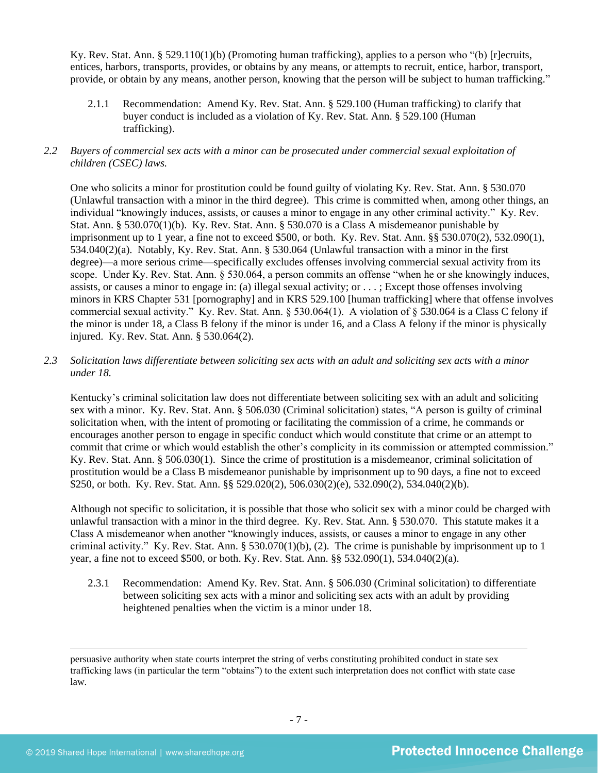Ky. Rev. Stat. Ann. § 529.110(1)(b) (Promoting human trafficking), applies to a person who "(b) [r]ecruits, entices, harbors, transports, provides, or obtains by any means, or attempts to recruit, entice, harbor, transport, provide, or obtain by any means, another person, knowing that the person will be subject to human trafficking."

2.1.1 Recommendation: Amend Ky. Rev. Stat. Ann. § 529.100 (Human trafficking) to clarify that buyer conduct is included as a violation of Ky. Rev. Stat. Ann. § 529.100 (Human trafficking).

## *2.2 Buyers of commercial sex acts with a minor can be prosecuted under commercial sexual exploitation of children (CSEC) laws.*

One who solicits a minor for prostitution could be found guilty of violating Ky. Rev. Stat. Ann. § 530.070 (Unlawful transaction with a minor in the third degree). This crime is committed when, among other things, an individual "knowingly induces, assists, or causes a minor to engage in any other criminal activity." Ky. Rev. Stat. Ann. § 530.070(1)(b). Ky. Rev. Stat. Ann. § 530.070 is a Class A misdemeanor punishable by imprisonment up to 1 year, a fine not to exceed \$500, or both. Ky. Rev. Stat. Ann. §§ 530.070(2), 532.090(1), 534.040(2)(a). Notably, Ky. Rev. Stat. Ann. § 530.064 (Unlawful transaction with a minor in the first degree)—a more serious crime—specifically excludes offenses involving commercial sexual activity from its scope. Under Ky. Rev. Stat. Ann. § 530.064, a person commits an offense "when he or she knowingly induces, assists, or causes a minor to engage in: (a) illegal sexual activity; or . . . ; Except those offenses involving minors in KRS Chapter 531 [pornography] and in KRS 529.100 [human trafficking] where that offense involves commercial sexual activity." Ky. Rev. Stat. Ann. § 530.064(1). A violation of § 530.064 is a Class C felony if the minor is under 18, a Class B felony if the minor is under 16, and a Class A felony if the minor is physically injured. Ky. Rev. Stat. Ann. § 530.064(2).

## *2.3 Solicitation laws differentiate between soliciting sex acts with an adult and soliciting sex acts with a minor under 18.*

Kentucky's criminal solicitation law does not differentiate between soliciting sex with an adult and soliciting sex with a minor. Ky. Rev. Stat. Ann. § 506.030 (Criminal solicitation) states, "A person is guilty of criminal solicitation when, with the intent of promoting or facilitating the commission of a crime, he commands or encourages another person to engage in specific conduct which would constitute that crime or an attempt to commit that crime or which would establish the other's complicity in its commission or attempted commission." Ky. Rev. Stat. Ann. § 506.030(1). Since the crime of prostitution is a misdemeanor, criminal solicitation of prostitution would be a Class B misdemeanor punishable by imprisonment up to 90 days, a fine not to exceed \$250, or both. Ky. Rev. Stat. Ann. §§ 529.020(2), 506.030(2)(e), 532.090(2), 534.040(2)(b).

Although not specific to solicitation, it is possible that those who solicit sex with a minor could be charged with unlawful transaction with a minor in the third degree. Ky. Rev. Stat. Ann. § 530.070. This statute makes it a Class A misdemeanor when another "knowingly induces, assists, or causes a minor to engage in any other criminal activity." Ky. Rev. Stat. Ann. § 530.070(1)(b), (2). The crime is punishable by imprisonment up to 1 year, a fine not to exceed \$500, or both. Ky. Rev. Stat. Ann. §§ 532.090(1), 534.040(2)(a).

2.3.1 Recommendation: Amend Ky. Rev. Stat. Ann. § 506.030 (Criminal solicitation) to differentiate between soliciting sex acts with a minor and soliciting sex acts with an adult by providing heightened penalties when the victim is a minor under 18.

persuasive authority when state courts interpret the string of verbs constituting prohibited conduct in state sex trafficking laws (in particular the term "obtains") to the extent such interpretation does not conflict with state case law.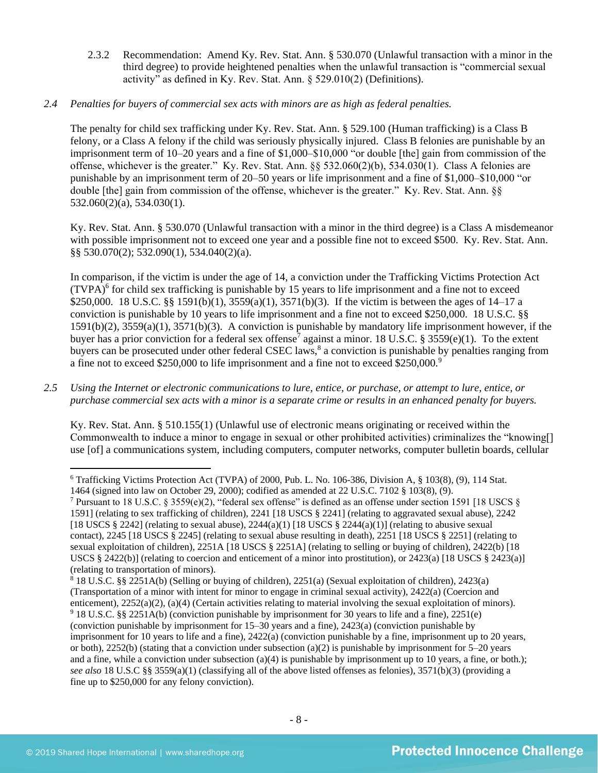2.3.2 Recommendation: Amend Ky. Rev. Stat. Ann. § 530.070 (Unlawful transaction with a minor in the third degree) to provide heightened penalties when the unlawful transaction is "commercial sexual activity" as defined in Ky. Rev. Stat. Ann. § 529.010(2) (Definitions).

## *2.4 Penalties for buyers of commercial sex acts with minors are as high as federal penalties.*

The penalty for child sex trafficking under Ky. Rev. Stat. Ann. § 529.100 (Human trafficking) is a Class B felony, or a Class A felony if the child was seriously physically injured. Class B felonies are punishable by an imprisonment term of 10–20 years and a fine of \$1,000–\$10,000 "or double [the] gain from commission of the offense, whichever is the greater." Ky. Rev. Stat. Ann. §§ 532.060(2)(b), 534.030(1). Class A felonies are punishable by an imprisonment term of 20–50 years or life imprisonment and a fine of \$1,000–\$10,000 "or double [the] gain from commission of the offense, whichever is the greater." Ky. Rev. Stat. Ann. §§ 532.060(2)(a), 534.030(1).

Ky. Rev. Stat. Ann. § 530.070 (Unlawful transaction with a minor in the third degree) is a Class A misdemeanor with possible imprisonment not to exceed one year and a possible fine not to exceed \$500. Ky. Rev. Stat. Ann. §§ 530.070(2); 532.090(1), 534.040(2)(a).

<span id="page-7-1"></span><span id="page-7-0"></span>In comparison, if the victim is under the age of 14, a conviction under the Trafficking Victims Protection Act  $(TVPA)<sup>6</sup>$  for child sex trafficking is punishable by 15 years to life imprisonment and a fine not to exceed \$250,000. 18 U.S.C. §§ 1591(b)(1), 3559(a)(1), 3571(b)(3). If the victim is between the ages of 14–17 a conviction is punishable by 10 years to life imprisonment and a fine not to exceed \$250,000. 18 U.S.C. §§ 1591(b)(2), 3559(a)(1), 3571(b)(3). A conviction is punishable by mandatory life imprisonment however, if the buyer has a prior conviction for a federal sex offense<sup>7</sup> against a minor. 18 U.S.C. § 3559(e)(1). To the extent buyers can be prosecuted under other federal CSEC laws,<sup>8</sup> a conviction is punishable by penalties ranging from a fine not to exceed \$250,000 to life imprisonment and a fine not to exceed \$250,000.<sup>9</sup>

*2.5 Using the Internet or electronic communications to lure, entice, or purchase, or attempt to lure, entice, or purchase commercial sex acts with a minor is a separate crime or results in an enhanced penalty for buyers.*

Ky. Rev. Stat. Ann. § 510.155(1) (Unlawful use of electronic means originating or received within the Commonwealth to induce a minor to engage in sexual or other prohibited activities) criminalizes the "knowing[] use [of] a communications system, including computers, computer networks, computer bulletin boards, cellular

<sup>8</sup> 18 U.S.C. §§ 2251A(b) (Selling or buying of children), 2251(a) (Sexual exploitation of children), 2423(a) (Transportation of a minor with intent for minor to engage in criminal sexual activity), 2422(a) (Coercion and enticement), 2252(a)(2), (a)(4) (Certain activities relating to material involving the sexual exploitation of minors). <sup>9</sup> 18 U.S.C. §§ 2251A(b) (conviction punishable by imprisonment for 30 years to life and a fine), 2251(e) (conviction punishable by imprisonment for 15–30 years and a fine), 2423(a) (conviction punishable by imprisonment for 10 years to life and a fine), 2422(a) (conviction punishable by a fine, imprisonment up to 20 years, or both),  $2252(b)$  (stating that a conviction under subsection (a)(2) is punishable by imprisonment for  $5-20$  years and a fine, while a conviction under subsection (a)(4) is punishable by imprisonment up to 10 years, a fine, or both.); *see also* 18 U.S.C §§ 3559(a)(1) (classifying all of the above listed offenses as felonies), 3571(b)(3) (providing a fine up to \$250,000 for any felony conviction).

<sup>6</sup> Trafficking Victims Protection Act (TVPA) of 2000, Pub. L. No. 106-386, Division A, § 103(8), (9), 114 Stat. 1464 (signed into law on October 29, 2000); codified as amended at 22 U.S.C. 7102 § 103(8), (9).

<sup>&</sup>lt;sup>7</sup> Pursuant to 18 U.S.C. § 3559(e)(2), "federal sex offense" is defined as an offense under section 1591 [18 USCS § 1591] (relating to sex trafficking of children), 2241 [18 USCS § 2241] (relating to aggravated sexual abuse), 2242 [18 USCS § 2242] (relating to sexual abuse),  $2244(a)(1)$  [18 USCS § 2244(a)(1)] (relating to abusive sexual contact), 2245 [18 USCS § 2245] (relating to sexual abuse resulting in death), 2251 [18 USCS § 2251] (relating to sexual exploitation of children), 2251A [18 USCS § 2251A] (relating to selling or buying of children), 2422(b) [18 USCS § 2422(b)] (relating to coercion and enticement of a minor into prostitution), or 2423(a) [18 USCS § 2423(a)] (relating to transportation of minors).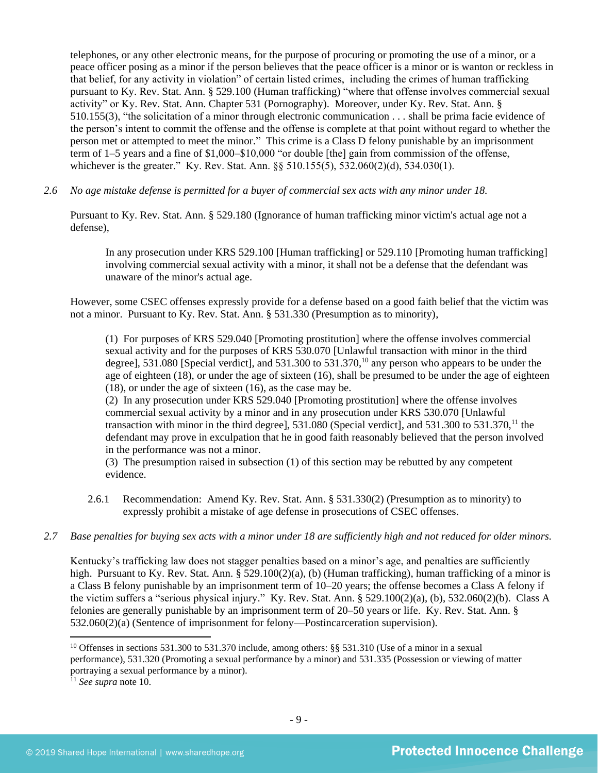telephones, or any other electronic means, for the purpose of procuring or promoting the use of a minor, or a peace officer posing as a minor if the person believes that the peace officer is a minor or is wanton or reckless in that belief, for any activity in violation" of certain listed crimes, including the crimes of human trafficking pursuant to Ky. Rev. Stat. Ann. § 529.100 (Human trafficking) "where that offense involves commercial sexual activity" or Ky. Rev. Stat. Ann. Chapter 531 (Pornography). Moreover, under Ky. Rev. Stat. Ann. § 510.155(3), "the solicitation of a minor through electronic communication . . . shall be prima facie evidence of the person's intent to commit the offense and the offense is complete at that point without regard to whether the person met or attempted to meet the minor." This crime is a Class D felony punishable by an imprisonment term of 1–5 years and a fine of \$1,000–\$10,000 "or double [the] gain from commission of the offense, whichever is the greater." Ky. Rev. Stat. Ann. §§ 510.155(5), 532.060(2)(d), 534.030(1).

*2.6 No age mistake defense is permitted for a buyer of commercial sex acts with any minor under 18.*

Pursuant to Ky. Rev. Stat. Ann. § 529.180 (Ignorance of human trafficking minor victim's actual age not a defense),

In any prosecution under KRS 529.100 [Human trafficking] or 529.110 [Promoting human trafficking] involving commercial sexual activity with a minor, it shall not be a defense that the defendant was unaware of the minor's actual age.

However, some CSEC offenses expressly provide for a defense based on a good faith belief that the victim was not a minor. Pursuant to Ky. Rev. Stat. Ann. § 531.330 (Presumption as to minority),

<span id="page-8-0"></span>(1) For purposes of KRS 529.040 [Promoting prostitution] where the offense involves commercial sexual activity and for the purposes of KRS 530.070 [Unlawful transaction with minor in the third degree], 531.080 [Special verdict], and 531.300 to 531.370,<sup>10</sup> any person who appears to be under the age of eighteen  $(18)$ , or under the age of sixteen  $(16)$ , shall be presumed to be under the age of eighteen (18), or under the age of sixteen (16), as the case may be.

(2) In any prosecution under KRS 529.040 [Promoting prostitution] where the offense involves commercial sexual activity by a minor and in any prosecution under KRS 530.070 [Unlawful transaction with minor in the third degree], 531.080 (Special verdict), and 531.300 to 531.370,<sup>11</sup> the defendant may prove in exculpation that he in good faith reasonably believed that the person involved in the performance was not a minor.

(3) The presumption raised in subsection (1) of this section may be rebutted by any competent evidence.

- 2.6.1 Recommendation: Amend Ky. Rev. Stat. Ann. § 531.330(2) (Presumption as to minority) to expressly prohibit a mistake of age defense in prosecutions of CSEC offenses.
- *2.7 Base penalties for buying sex acts with a minor under 18 are sufficiently high and not reduced for older minors.*

Kentucky's trafficking law does not stagger penalties based on a minor's age, and penalties are sufficiently high. Pursuant to Ky. Rev. Stat. Ann. § 529.100(2)(a), (b) (Human trafficking), human trafficking of a minor is a Class B felony punishable by an imprisonment term of 10–20 years; the offense becomes a Class A felony if the victim suffers a "serious physical injury." Ky. Rev. Stat. Ann. § 529.100(2)(a), (b), 532.060(2)(b). Class A felonies are generally punishable by an imprisonment term of 20–50 years or life. Ky. Rev. Stat. Ann. § 532.060(2)(a) (Sentence of imprisonment for felony—Postincarceration supervision).

<sup>10</sup> Offenses in sections 531.300 to 531.370 include, among others: §§ 531.310 (Use of a minor in a sexual performance), 531.320 (Promoting a sexual performance by a minor) and 531.335 (Possession or viewing of matter portraying a sexual performance by a minor).

<sup>11</sup> *See supra* note [10.](#page-8-0)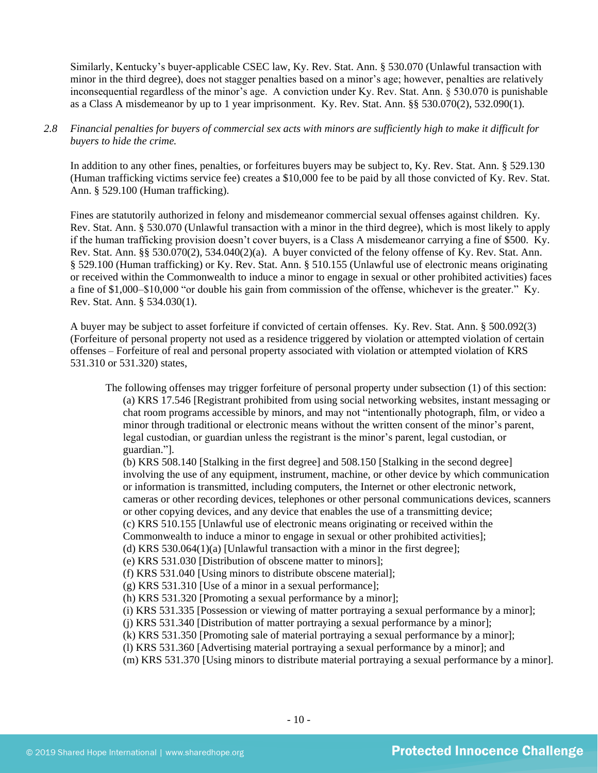Similarly, Kentucky's buyer-applicable CSEC law, Ky. Rev. Stat. Ann. § 530.070 (Unlawful transaction with minor in the third degree), does not stagger penalties based on a minor's age; however, penalties are relatively inconsequential regardless of the minor's age. A conviction under Ky. Rev. Stat. Ann. § 530.070 is punishable as a Class A misdemeanor by up to 1 year imprisonment. Ky. Rev. Stat. Ann. §§ 530.070(2), 532.090(1).

## *2.8 Financial penalties for buyers of commercial sex acts with minors are sufficiently high to make it difficult for buyers to hide the crime.*

In addition to any other fines, penalties, or forfeitures buyers may be subject to, Ky. Rev. Stat. Ann. § 529.130 (Human trafficking victims service fee) creates a \$10,000 fee to be paid by all those convicted of Ky. Rev. Stat. Ann. § 529.100 (Human trafficking).

Fines are statutorily authorized in felony and misdemeanor commercial sexual offenses against children. Ky. Rev. Stat. Ann. § 530.070 (Unlawful transaction with a minor in the third degree), which is most likely to apply if the human trafficking provision doesn't cover buyers, is a Class A misdemeanor carrying a fine of \$500. Ky. Rev. Stat. Ann. §§ 530.070(2), 534.040(2)(a). A buyer convicted of the felony offense of Ky. Rev. Stat. Ann. § 529.100 (Human trafficking) or Ky. Rev. Stat. Ann. § 510.155 (Unlawful use of electronic means originating or received within the Commonwealth to induce a minor to engage in sexual or other prohibited activities) faces a fine of \$1,000–\$10,000 "or double his gain from commission of the offense, whichever is the greater." Ky. Rev. Stat. Ann. § 534.030(1).

A buyer may be subject to asset forfeiture if convicted of certain offenses. Ky. Rev. Stat. Ann. § 500.092(3) (Forfeiture of personal property not used as a residence triggered by violation or attempted violation of certain offenses – Forfeiture of real and personal property associated with violation or attempted violation of KRS 531.310 or 531.320) states,

The following offenses may trigger forfeiture of personal property under subsection (1) of this section: (a) KRS 17.546 [Registrant prohibited from using social networking websites, instant messaging or chat room programs accessible by minors, and may not "intentionally photograph, film, or video a minor through traditional or electronic means without the written consent of the minor's parent, legal custodian, or guardian unless the registrant is the minor's parent, legal custodian, or guardian."].

(b) KRS 508.140 [Stalking in the first degree] and 508.150 [Stalking in the second degree] involving the use of any equipment, instrument, machine, or other device by which communication or information is transmitted, including computers, the Internet or other electronic network, cameras or other recording devices, telephones or other personal communications devices, scanners or other copying devices, and any device that enables the use of a transmitting device; (c) KRS 510.155 [Unlawful use of electronic means originating or received within the Commonwealth to induce a minor to engage in sexual or other prohibited activities]; (d) KRS 530.064(1)(a) [Unlawful transaction with a minor in the first degree]; (e) KRS 531.030 [Distribution of obscene matter to minors]; (f) KRS 531.040 [Using minors to distribute obscene material]; (g) KRS 531.310 [Use of a minor in a sexual performance]; (h) KRS 531.320 [Promoting a sexual performance by a minor]; (i) KRS 531.335 [Possession or viewing of matter portraying a sexual performance by a minor]; (j) KRS 531.340 [Distribution of matter portraying a sexual performance by a minor]; (k) KRS 531.350 [Promoting sale of material portraying a sexual performance by a minor]; (l) KRS 531.360 [Advertising material portraying a sexual performance by a minor]; and (m) KRS 531.370 [Using minors to distribute material portraying a sexual performance by a minor].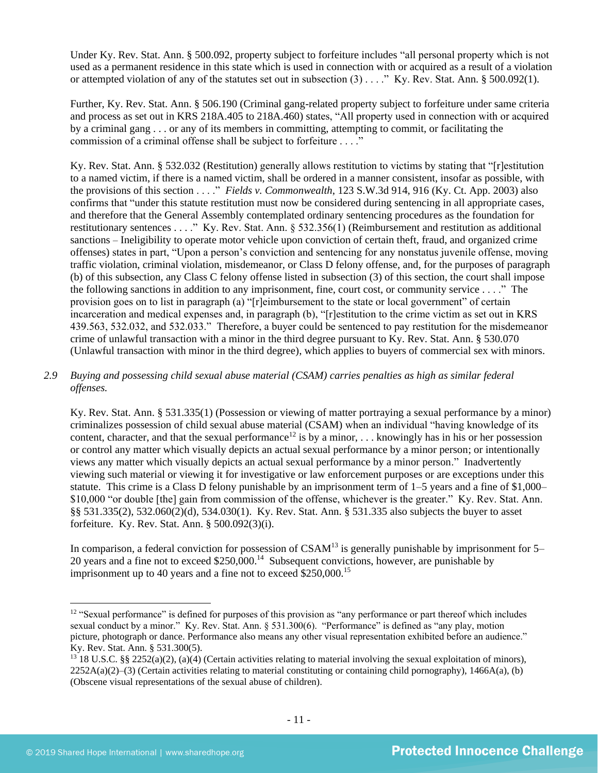Under Ky. Rev. Stat. Ann. § 500.092, property subject to forfeiture includes "all personal property which is not used as a permanent residence in this state which is used in connection with or acquired as a result of a violation or attempted violation of any of the statutes set out in subsection  $(3)$ ...." Ky. Rev. Stat. Ann. § 500.092(1).

Further, Ky. Rev. Stat. Ann. § 506.190 (Criminal gang-related property subject to forfeiture under same criteria and process as set out in KRS 218A.405 to 218A.460) states, "All property used in connection with or acquired by a criminal gang . . . or any of its members in committing, attempting to commit, or facilitating the commission of a criminal offense shall be subject to forfeiture . . . ."

Ky. Rev. Stat. Ann. § 532.032 (Restitution) generally allows restitution to victims by stating that "[r]estitution to a named victim, if there is a named victim, shall be ordered in a manner consistent, insofar as possible, with the provisions of this section . . . ." *Fields v. Commonwealth*, 123 S.W.3d 914, 916 (Ky. Ct. App. 2003) also confirms that "under this statute restitution must now be considered during sentencing in all appropriate cases, and therefore that the General Assembly contemplated ordinary sentencing procedures as the foundation for restitutionary sentences . . . ." Ky. Rev. Stat. Ann. § 532.356(1) (Reimbursement and restitution as additional sanctions – Ineligibility to operate motor vehicle upon conviction of certain theft, fraud, and organized crime offenses) states in part, "Upon a person's conviction and sentencing for any nonstatus juvenile offense, moving traffic violation, criminal violation, misdemeanor, or Class D felony offense, and, for the purposes of paragraph (b) of this subsection, any Class C felony offense listed in subsection (3) of this section, the court shall impose the following sanctions in addition to any imprisonment, fine, court cost, or community service . . . ." The provision goes on to list in paragraph (a) "[r]eimbursement to the state or local government" of certain incarceration and medical expenses and, in paragraph (b), "[r]estitution to the crime victim as set out in KRS 439.563, 532.032, and 532.033." Therefore, a buyer could be sentenced to pay restitution for the misdemeanor crime of unlawful transaction with a minor in the third degree pursuant to Ky. Rev. Stat. Ann. § 530.070 (Unlawful transaction with minor in the third degree), which applies to buyers of commercial sex with minors.

## *2.9 Buying and possessing child sexual abuse material (CSAM) carries penalties as high as similar federal offenses.*

Ky. Rev. Stat. Ann. § 531.335(1) (Possession or viewing of matter portraying a sexual performance by a minor) criminalizes possession of child sexual abuse material (CSAM) when an individual "having knowledge of its content, character, and that the sexual performance<sup>12</sup> is by a minor, ... knowingly has in his or her possession or control any matter which visually depicts an actual sexual performance by a minor person; or intentionally views any matter which visually depicts an actual sexual performance by a minor person." Inadvertently viewing such material or viewing it for investigative or law enforcement purposes or are exceptions under this statute. This crime is a Class D felony punishable by an imprisonment term of 1–5 years and a fine of \$1,000– \$10,000 "or double [the] gain from commission of the offense, whichever is the greater." Ky. Rev. Stat. Ann. §§ 531.335(2), 532.060(2)(d), 534.030(1). Ky. Rev. Stat. Ann. § 531.335 also subjects the buyer to asset forfeiture. Ky. Rev. Stat. Ann. § 500.092(3)(i).

In comparison, a federal conviction for possession of  $CSAM<sup>13</sup>$  is generally punishable by imprisonment for 5– 20 years and a fine not to exceed  $$250,000$ .<sup>14</sup> Subsequent convictions, however, are punishable by imprisonment up to 40 years and a fine not to exceed \$250,000.<sup>15</sup>

<sup>&</sup>lt;sup>12</sup> "Sexual performance" is defined for purposes of this provision as "any performance or part thereof which includes sexual conduct by a minor." Ky. Rev. Stat. Ann. § 531.300(6). "Performance" is defined as "any play, motion picture, photograph or dance. Performance also means any other visual representation exhibited before an audience." Ky. Rev. Stat. Ann. § 531.300(5).

 $^{13}$  18 U.S.C. §§ 2252(a)(2), (a)(4) (Certain activities relating to material involving the sexual exploitation of minors),  $2252A(a)(2)$ –(3) (Certain activities relating to material constituting or containing child pornography), 1466A(a), (b) (Obscene visual representations of the sexual abuse of children).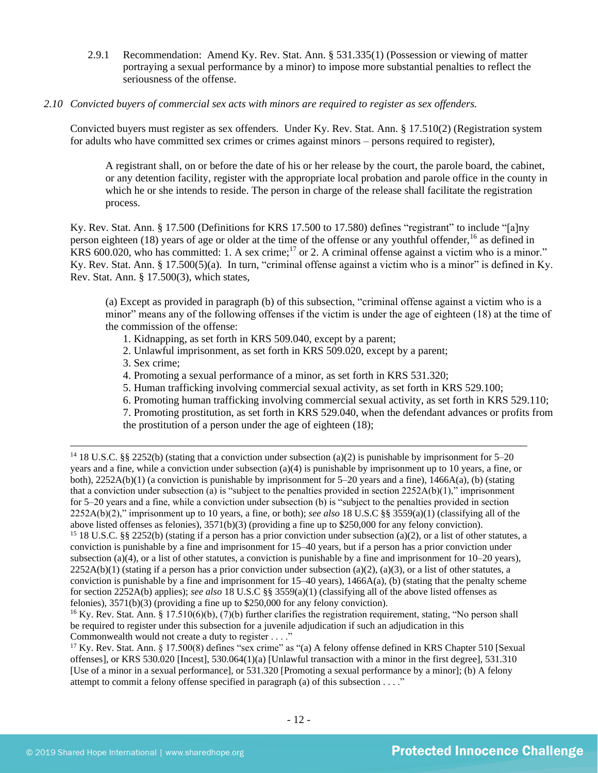- 2.9.1 Recommendation: Amend Ky. Rev. Stat. Ann. § 531.335(1) (Possession or viewing of matter portraying a sexual performance by a minor) to impose more substantial penalties to reflect the seriousness of the offense.
- *2.10 Convicted buyers of commercial sex acts with minors are required to register as sex offenders.*

Convicted buyers must register as sex offenders. Under Ky. Rev. Stat. Ann. § 17.510(2) (Registration system for adults who have committed sex crimes or crimes against minors – persons required to register),

A registrant shall, on or before the date of his or her release by the court, the parole board, the cabinet, or any detention facility, register with the appropriate local probation and parole office in the county in which he or she intends to reside. The person in charge of the release shall facilitate the registration process.

Ky. Rev. Stat. Ann. § 17.500 (Definitions for KRS 17.500 to 17.580) defines "registrant" to include "[a]ny person eighteen (18) years of age or older at the time of the offense or any youthful offender,<sup>16</sup> as defined in KRS 600.020, who has committed: 1. A sex crime;<sup>17</sup> or 2. A criminal offense against a victim who is a minor." Ky. Rev. Stat. Ann. § 17.500(5)(a). In turn, "criminal offense against a victim who is a minor" is defined in Ky. Rev. Stat. Ann. § 17.500(3), which states,

(a) Except as provided in paragraph (b) of this subsection, "criminal offense against a victim who is a minor" means any of the following offenses if the victim is under the age of eighteen (18) at the time of the commission of the offense:

- 1. Kidnapping, as set forth in KRS 509.040, except by a parent;
- 2. Unlawful imprisonment, as set forth in KRS 509.020, except by a parent;
- 3. Sex crime;
- 4. Promoting a sexual performance of a minor, as set forth in KRS 531.320;
- 5. Human trafficking involving commercial sexual activity, as set forth in KRS 529.100;
- 6. Promoting human trafficking involving commercial sexual activity, as set forth in KRS 529.110;

7. Promoting prostitution, as set forth in KRS 529.040, when the defendant advances or profits from the prostitution of a person under the age of eighteen (18);

<sup>14</sup> 18 U.S.C. §§ 2252(b) (stating that a conviction under subsection (a)(2) is punishable by imprisonment for 5–20 years and a fine, while a conviction under subsection (a)(4) is punishable by imprisonment up to 10 years, a fine, or both), 2252A(b)(1) (a conviction is punishable by imprisonment for 5–20 years and a fine), 1466A(a), (b) (stating that a conviction under subsection (a) is "subject to the penalties provided in section  $2252A(b)(1)$ ," imprisonment for 5–20 years and a fine, while a conviction under subsection (b) is "subject to the penalties provided in section 2252A(b)(2)," imprisonment up to 10 years, a fine, or both); *see also* 18 U.S.C §§ 3559(a)(1) (classifying all of the above listed offenses as felonies), 3571(b)(3) (providing a fine up to \$250,000 for any felony conviction). <sup>15</sup> 18 U.S.C. §§ 2252(b) (stating if a person has a prior conviction under subsection (a)(2), or a list of other statutes, a conviction is punishable by a fine and imprisonment for 15–40 years, but if a person has a prior conviction under subsection (a)(4), or a list of other statutes, a conviction is punishable by a fine and imprisonment for  $10-20$  years),  $2252A(b)(1)$  (stating if a person has a prior conviction under subsection (a)(2), (a)(3), or a list of other statutes, a conviction is punishable by a fine and imprisonment for  $15-40$  years),  $1466A(a)$ , (b) (stating that the penalty scheme for section 2252A(b) applies); *see also* 18 U.S.C §§ 3559(a)(1) (classifying all of the above listed offenses as felonies), 3571(b)(3) (providing a fine up to \$250,000 for any felony conviction).

<sup>&</sup>lt;sup>16</sup> Ky. Rev. Stat. Ann. § 17.510(6)(b), (7)(b) further clarifies the registration requirement, stating, "No person shall be required to register under this subsection for a juvenile adjudication if such an adjudication in this Commonwealth would not create a duty to register . . . ."

<sup>&</sup>lt;sup>17</sup> Ky. Rev. Stat. Ann. § 17.500(8) defines "sex crime" as "(a) A felony offense defined in KRS Chapter 510 [Sexual offenses], or KRS 530.020 [Incest], 530.064(1)(a) [Unlawful transaction with a minor in the first degree], 531.310 [Use of a minor in a sexual performance], or 531.320 [Promoting a sexual performance by a minor]; (b) A felony attempt to commit a felony offense specified in paragraph (a) of this subsection . . . ."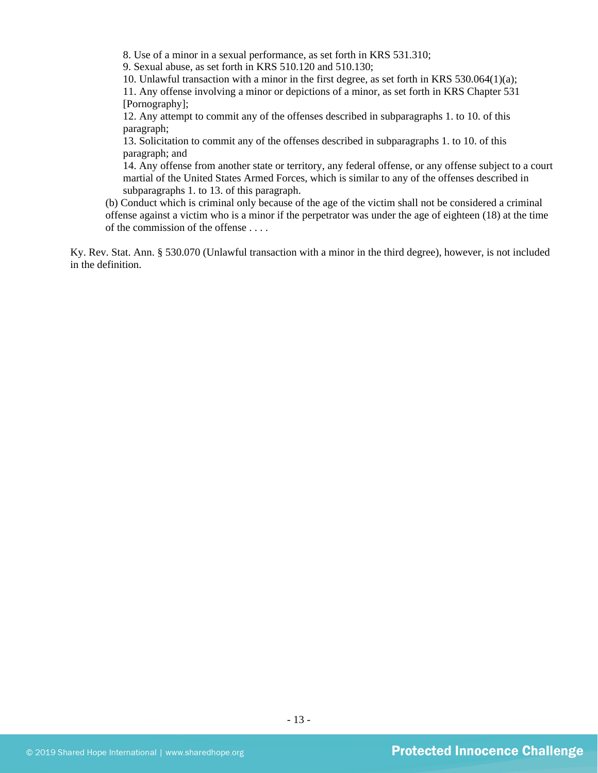8. Use of a minor in a sexual performance, as set forth in KRS 531.310;

9. Sexual abuse, as set forth in KRS 510.120 and 510.130;

10. Unlawful transaction with a minor in the first degree, as set forth in KRS 530.064(1)(a);

11. Any offense involving a minor or depictions of a minor, as set forth in KRS Chapter 531 [Pornography];

12. Any attempt to commit any of the offenses described in subparagraphs 1. to 10. of this paragraph;

13. Solicitation to commit any of the offenses described in subparagraphs 1. to 10. of this paragraph; and

14. Any offense from another state or territory, any federal offense, or any offense subject to a court martial of the United States Armed Forces, which is similar to any of the offenses described in subparagraphs 1. to 13. of this paragraph.

(b) Conduct which is criminal only because of the age of the victim shall not be considered a criminal offense against a victim who is a minor if the perpetrator was under the age of eighteen (18) at the time of the commission of the offense . . . .

Ky. Rev. Stat. Ann. § 530.070 (Unlawful transaction with a minor in the third degree), however, is not included in the definition.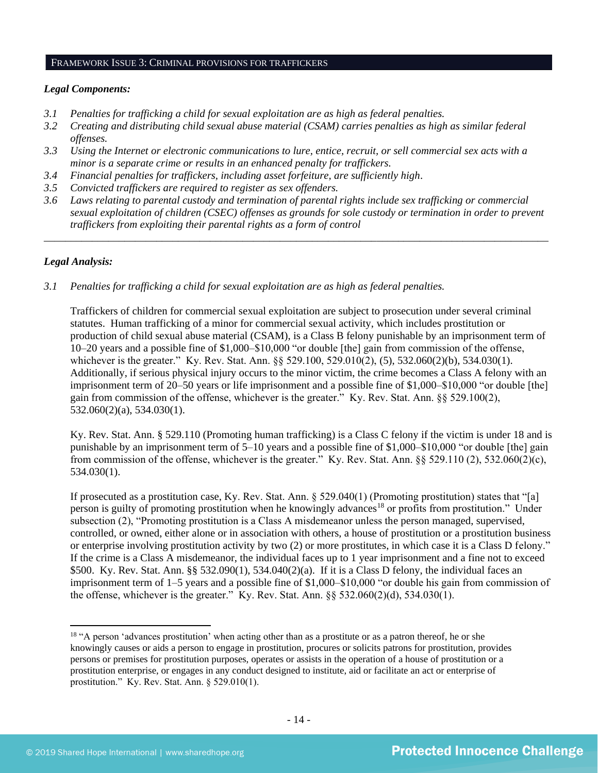#### FRAMEWORK ISSUE 3: CRIMINAL PROVISIONS FOR TRAFFICKERS

## *Legal Components:*

- *3.1 Penalties for trafficking a child for sexual exploitation are as high as federal penalties.*
- *3.2 Creating and distributing child sexual abuse material (CSAM) carries penalties as high as similar federal offenses.*
- *3.3 Using the Internet or electronic communications to lure, entice, recruit, or sell commercial sex acts with a minor is a separate crime or results in an enhanced penalty for traffickers.*
- *3.4 Financial penalties for traffickers, including asset forfeiture, are sufficiently high*.
- *3.5 Convicted traffickers are required to register as sex offenders.*
- *3.6 Laws relating to parental custody and termination of parental rights include sex trafficking or commercial sexual exploitation of children (CSEC) offenses as grounds for sole custody or termination in order to prevent traffickers from exploiting their parental rights as a form of control*

*\_\_\_\_\_\_\_\_\_\_\_\_\_\_\_\_\_\_\_\_\_\_\_\_\_\_\_\_\_\_\_\_\_\_\_\_\_\_\_\_\_\_\_\_\_\_\_\_\_\_\_\_\_\_\_\_\_\_\_\_\_\_\_\_\_\_\_\_\_\_\_\_\_\_\_\_\_\_\_\_\_\_\_\_\_\_\_\_\_\_\_\_\_\_*

## *Legal Analysis:*

*3.1 Penalties for trafficking a child for sexual exploitation are as high as federal penalties.* 

Traffickers of children for commercial sexual exploitation are subject to prosecution under several criminal statutes. Human trafficking of a minor for commercial sexual activity, which includes prostitution or production of child sexual abuse material (CSAM), is a Class B felony punishable by an imprisonment term of 10–20 years and a possible fine of \$1,000–\$10,000 "or double [the] gain from commission of the offense, whichever is the greater." Ky. Rev. Stat. Ann. §§ 529.100, 529.010(2), (5), 532.060(2)(b), 534.030(1). Additionally, if serious physical injury occurs to the minor victim, the crime becomes a Class A felony with an imprisonment term of 20–50 years or life imprisonment and a possible fine of \$1,000–\$10,000 "or double [the] gain from commission of the offense, whichever is the greater." Ky. Rev. Stat. Ann. §§ 529.100(2), 532.060(2)(a), 534.030(1).

Ky. Rev. Stat. Ann. § 529.110 (Promoting human trafficking) is a Class C felony if the victim is under 18 and is punishable by an imprisonment term of 5–10 years and a possible fine of \$1,000–\$10,000 "or double [the] gain from commission of the offense, whichever is the greater." Ky. Rev. Stat. Ann. §§ 529.110 (2), 532.060(2)(c), 534.030(1).

<span id="page-13-0"></span>If prosecuted as a prostitution case, Ky. Rev. Stat. Ann. § 529.040(1) (Promoting prostitution) states that "[a] person is guilty of promoting prostitution when he knowingly advances<sup>18</sup> or profits from prostitution." Under subsection (2), "Promoting prostitution is a Class A misdemeanor unless the person managed, supervised, controlled, or owned, either alone or in association with others, a house of prostitution or a prostitution business or enterprise involving prostitution activity by two (2) or more prostitutes, in which case it is a Class D felony." If the crime is a Class A misdemeanor, the individual faces up to 1 year imprisonment and a fine not to exceed \$500. Ky. Rev. Stat. Ann. §§ 532.090(1), 534.040(2)(a). If it is a Class D felony, the individual faces an imprisonment term of 1–5 years and a possible fine of \$1,000–\$10,000 "or double his gain from commission of the offense, whichever is the greater." Ky. Rev. Stat. Ann.  $\S$ § 532.060(2)(d), 534.030(1).

<sup>&</sup>lt;sup>18</sup> "A person 'advances prostitution' when acting other than as a prostitute or as a patron thereof, he or she knowingly causes or aids a person to engage in prostitution, procures or solicits patrons for prostitution, provides persons or premises for prostitution purposes, operates or assists in the operation of a house of prostitution or a prostitution enterprise, or engages in any conduct designed to institute, aid or facilitate an act or enterprise of prostitution." Ky. Rev. Stat. Ann. § 529.010(1).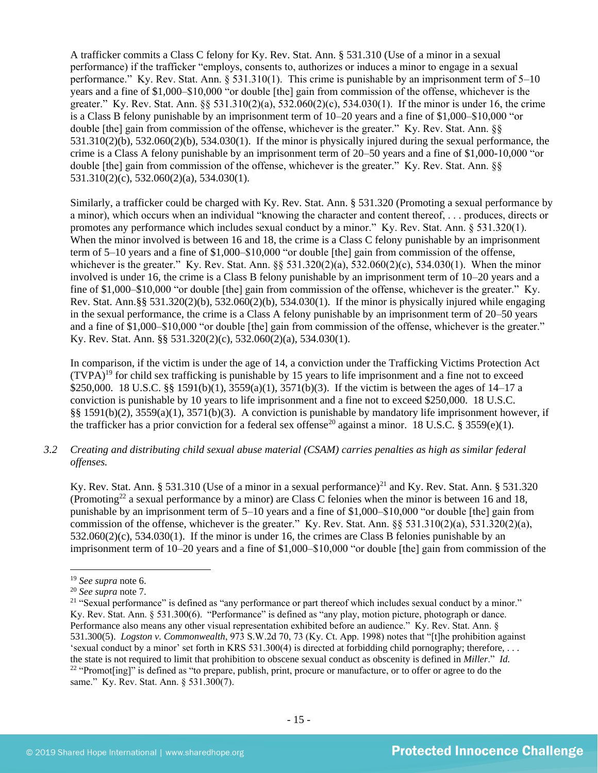A trafficker commits a Class C felony for Ky. Rev. Stat. Ann. § 531.310 (Use of a minor in a sexual performance) if the trafficker "employs, consents to, authorizes or induces a minor to engage in a sexual performance." Ky. Rev. Stat. Ann. § 531.310(1). This crime is punishable by an imprisonment term of 5–10 years and a fine of \$1,000–\$10,000 "or double [the] gain from commission of the offense, whichever is the greater." Ky. Rev. Stat. Ann. §§ 531.310(2)(a), 532.060(2)(c), 534.030(1). If the minor is under 16, the crime is a Class B felony punishable by an imprisonment term of 10–20 years and a fine of \$1,000–\$10,000 "or double [the] gain from commission of the offense, whichever is the greater." Ky. Rev. Stat. Ann. §§  $531.310(2)(b)$ ,  $532.060(2)(b)$ ,  $534.030(1)$ . If the minor is physically injured during the sexual performance, the crime is a Class A felony punishable by an imprisonment term of 20–50 years and a fine of \$1,000-10,000 "or double [the] gain from commission of the offense, whichever is the greater." Ky. Rev. Stat. Ann. §§ 531.310(2)(c), 532.060(2)(a), 534.030(1).

Similarly, a trafficker could be charged with Ky. Rev. Stat. Ann. § 531.320 (Promoting a sexual performance by a minor), which occurs when an individual "knowing the character and content thereof, . . . produces, directs or promotes any performance which includes sexual conduct by a minor." Ky. Rev. Stat. Ann. § 531.320(1). When the minor involved is between 16 and 18, the crime is a Class C felony punishable by an imprisonment term of 5–10 years and a fine of \$1,000–\$10,000 "or double [the] gain from commission of the offense, whichever is the greater." Ky. Rev. Stat. Ann. §§ 531.320(2)(a), 532.060(2)(c), 534.030(1). When the minor involved is under 16, the crime is a Class B felony punishable by an imprisonment term of 10–20 years and a fine of \$1,000–\$10,000 "or double [the] gain from commission of the offense, whichever is the greater." Ky. Rev. Stat. Ann.§§ 531.320(2)(b), 532.060(2)(b), 534.030(1). If the minor is physically injured while engaging in the sexual performance, the crime is a Class A felony punishable by an imprisonment term of 20–50 years and a fine of \$1,000–\$10,000 "or double [the] gain from commission of the offense, whichever is the greater." Ky. Rev. Stat. Ann. §§ 531.320(2)(c), 532.060(2)(a), 534.030(1).

In comparison, if the victim is under the age of 14, a conviction under the Trafficking Victims Protection Act  $(TVPA)^{19}$  for child sex trafficking is punishable by 15 years to life imprisonment and a fine not to exceed \$250,000. 18 U.S.C. §§ 1591(b)(1), 3559(a)(1), 3571(b)(3). If the victim is between the ages of 14–17 a conviction is punishable by 10 years to life imprisonment and a fine not to exceed \$250,000. 18 U.S.C. §§ 1591(b)(2), 3559(a)(1), 3571(b)(3). A conviction is punishable by mandatory life imprisonment however, if the trafficker has a prior conviction for a federal sex offense<sup>20</sup> against a minor. 18 U.S.C. § 3559(e)(1).

*3.2 Creating and distributing child sexual abuse material (CSAM) carries penalties as high as similar federal offenses.*

Ky. Rev. Stat. Ann. § 531.310 (Use of a minor in a sexual performance)<sup>21</sup> and Ky. Rev. Stat. Ann. § 531.320 (Promoting<sup>22</sup> a sexual performance by a minor) are Class C felonies when the minor is between 16 and 18, punishable by an imprisonment term of 5–10 years and a fine of \$1,000–\$10,000 "or double [the] gain from commission of the offense, whichever is the greater." Ky. Rev. Stat. Ann.  $\S$ § 531.310(2)(a), 531.320(2)(a), 532.060(2)(c), 534.030(1). If the minor is under 16, the crimes are Class B felonies punishable by an imprisonment term of 10–20 years and a fine of \$1,000–\$10,000 "or double [the] gain from commission of the

<sup>19</sup> *See supra* note [6.](#page-7-0)

<sup>20</sup> *See supra* note [7.](#page-7-1) 

<sup>&</sup>lt;sup>21</sup> "Sexual performance" is defined as "any performance or part thereof which includes sexual conduct by a minor." Ky. Rev. Stat. Ann. § 531.300(6). "Performance" is defined as "any play, motion picture, photograph or dance. Performance also means any other visual representation exhibited before an audience." Ky. Rev. Stat. Ann. § 531.300(5). *Logston v. Commonwealth*, 973 S.W.2d 70, 73 (Ky. Ct. App. 1998) notes that "[t]he prohibition against 'sexual conduct by a minor' set forth in KRS 531.300(4) is directed at forbidding child pornography; therefore, . . . the state is not required to limit that prohibition to obscene sexual conduct as obscenity is defined in *Miller*." *Id.*  $22$  "Promot[ing]" is defined as "to prepare, publish, print, procure or manufacture, or to offer or agree to do the same." Ky. Rev. Stat. Ann. § 531.300(7).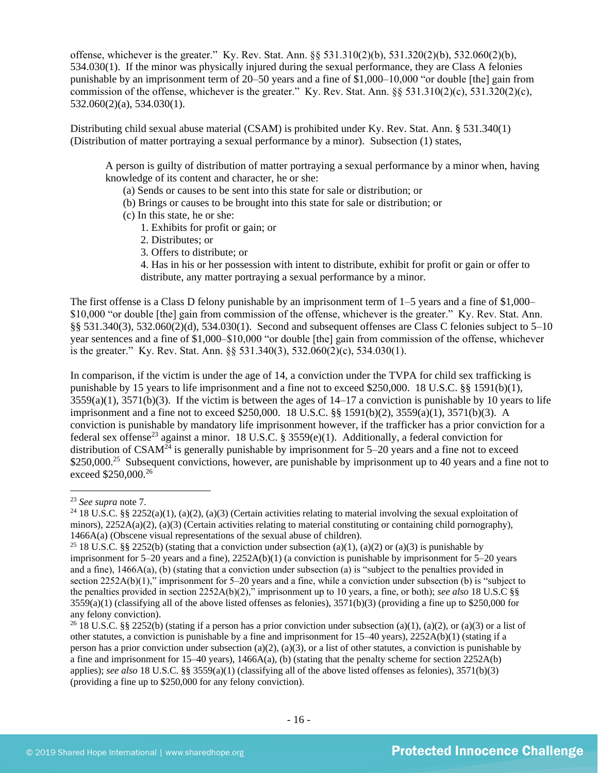offense, whichever is the greater." Ky. Rev. Stat. Ann. §§ 531.310(2)(b), 531.320(2)(b), 532.060(2)(b), 534.030(1). If the minor was physically injured during the sexual performance, they are Class A felonies punishable by an imprisonment term of 20–50 years and a fine of \$1,000–10,000 "or double [the] gain from commission of the offense, whichever is the greater." Ky. Rev. Stat. Ann.  $\S$ § 531.310(2)(c), 531.320(2)(c), 532.060(2)(a), 534.030(1).

Distributing child sexual abuse material (CSAM) is prohibited under Ky. Rev. Stat. Ann. § 531.340(1) (Distribution of matter portraying a sexual performance by a minor). Subsection (1) states,

A person is guilty of distribution of matter portraying a sexual performance by a minor when, having knowledge of its content and character, he or she:

- (a) Sends or causes to be sent into this state for sale or distribution; or
- (b) Brings or causes to be brought into this state for sale or distribution; or
- (c) In this state, he or she:
	- 1. Exhibits for profit or gain; or
	- 2. Distributes; or
	- 3. Offers to distribute; or

4. Has in his or her possession with intent to distribute, exhibit for profit or gain or offer to distribute, any matter portraying a sexual performance by a minor.

The first offense is a Class D felony punishable by an imprisonment term of 1–5 years and a fine of \$1,000– \$10,000 "or double [the] gain from commission of the offense, whichever is the greater." Ky. Rev. Stat. Ann. §§ 531.340(3), 532.060(2)(d), 534.030(1). Second and subsequent offenses are Class C felonies subject to 5–10 year sentences and a fine of \$1,000–\$10,000 "or double [the] gain from commission of the offense, whichever is the greater." Ky. Rev. Stat. Ann. §§ 531.340(3), 532.060(2)(c), 534.030(1).

In comparison, if the victim is under the age of 14, a conviction under the TVPA for child sex trafficking is punishable by 15 years to life imprisonment and a fine not to exceed \$250,000. 18 U.S.C. §§ 1591(b)(1),  $3559(a)(1)$ ,  $3571(b)(3)$ . If the victim is between the ages of  $14-17$  a conviction is punishable by 10 years to life imprisonment and a fine not to exceed \$250,000. 18 U.S.C. §§ 1591(b)(2), 3559(a)(1), 3571(b)(3). A conviction is punishable by mandatory life imprisonment however, if the trafficker has a prior conviction for a federal sex offense<sup>23</sup> against a minor. 18 U.S.C. § 3559(e)(1). Additionally, a federal conviction for distribution of CSAM<sup> $\tilde{24}$ </sup> is generally punishable by imprisonment for 5–20 years and a fine not to exceed \$250,000.<sup>25</sup> Subsequent convictions, however, are punishable by imprisonment up to 40 years and a fine not to exceed \$250,000.<sup>26</sup>

<sup>23</sup> *See supra* note [7.](#page-7-1) 

<sup>&</sup>lt;sup>24</sup> 18 U.S.C. §§ 2252(a)(1), (a)(2), (a)(3) (Certain activities relating to material involving the sexual exploitation of minors),  $2252A(a)(2)$ ,  $(a)(3)$  (Certain activities relating to material constituting or containing child pornography), 1466A(a) (Obscene visual representations of the sexual abuse of children).

<sup>&</sup>lt;sup>25</sup> 18 U.S.C. §§ 2252(b) (stating that a conviction under subsection (a)(1), (a)(2) or (a)(3) is punishable by imprisonment for 5–20 years and a fine), 2252A(b)(1) (a conviction is punishable by imprisonment for 5–20 years and a fine), 1466A(a), (b) (stating that a conviction under subsection (a) is "subject to the penalties provided in section 2252A(b)(1)," imprisonment for 5–20 years and a fine, while a conviction under subsection (b) is "subject to the penalties provided in section 2252A(b)(2)," imprisonment up to 10 years, a fine, or both); *see also* 18 U.S.C §§  $3559(a)(1)$  (classifying all of the above listed offenses as felonies),  $3571(b)(3)$  (providing a fine up to \$250,000 for any felony conviction).

<sup>&</sup>lt;sup>26</sup> 18 U.S.C. §§ 2252(b) (stating if a person has a prior conviction under subsection (a)(1), (a)(2), or (a)(3) or a list of other statutes, a conviction is punishable by a fine and imprisonment for 15–40 years), 2252A(b)(1) (stating if a person has a prior conviction under subsection (a)(2), (a)(3), or a list of other statutes, a conviction is punishable by a fine and imprisonment for 15–40 years),  $1466A(a)$ , (b) (stating that the penalty scheme for section 2252A(b) applies); *see also* 18 U.S.C. §§ 3559(a)(1) (classifying all of the above listed offenses as felonies), 3571(b)(3) (providing a fine up to \$250,000 for any felony conviction).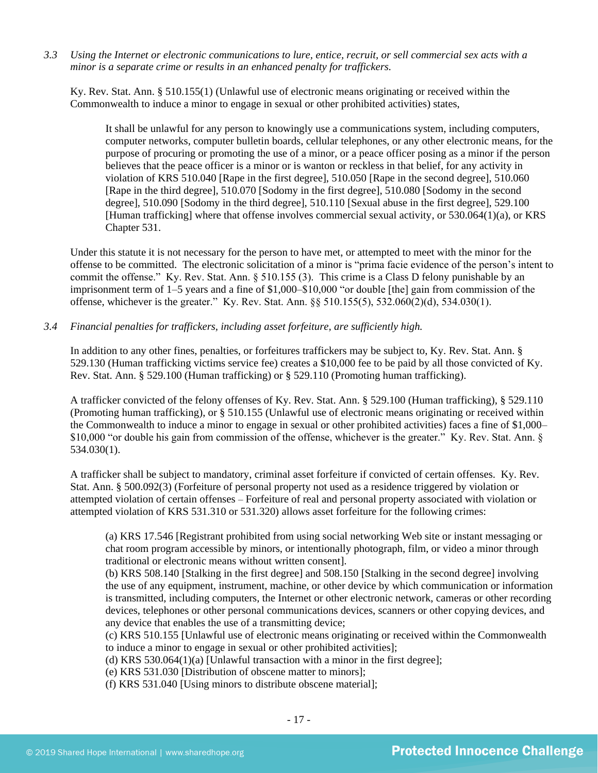*3.3 Using the Internet or electronic communications to lure, entice, recruit, or sell commercial sex acts with a minor is a separate crime or results in an enhanced penalty for traffickers.*

Ky. Rev. Stat. Ann. § 510.155(1) (Unlawful use of electronic means originating or received within the Commonwealth to induce a minor to engage in sexual or other prohibited activities) states,

It shall be unlawful for any person to knowingly use a communications system, including computers, computer networks, computer bulletin boards, cellular telephones, or any other electronic means, for the purpose of procuring or promoting the use of a minor, or a peace officer posing as a minor if the person believes that the peace officer is a minor or is wanton or reckless in that belief, for any activity in violation of KRS 510.040 [Rape in the first degree], 510.050 [Rape in the second degree], 510.060 [Rape in the third degree], 510.070 [Sodomy in the first degree], 510.080 [Sodomy in the second degree], 510.090 [Sodomy in the third degree], 510.110 [Sexual abuse in the first degree], 529.100 [Human trafficking] where that offense involves commercial sexual activity, or 530.064(1)(a), or KRS Chapter 531.

Under this statute it is not necessary for the person to have met, or attempted to meet with the minor for the offense to be committed. The electronic solicitation of a minor is "prima facie evidence of the person's intent to commit the offense." Ky. Rev. Stat. Ann. § 510.155 (3). This crime is a Class D felony punishable by an imprisonment term of 1–5 years and a fine of \$1,000–\$10,000 "or double [the] gain from commission of the offense, whichever is the greater." Ky. Rev. Stat. Ann. §§ 510.155(5), 532.060(2)(d), 534.030(1).

*3.4 Financial penalties for traffickers, including asset forfeiture, are sufficiently high.*

In addition to any other fines, penalties, or forfeitures traffickers may be subject to, Ky. Rev. Stat. Ann. § 529.130 (Human trafficking victims service fee) creates a \$10,000 fee to be paid by all those convicted of Ky. Rev. Stat. Ann. § 529.100 (Human trafficking) or § 529.110 (Promoting human trafficking).

A trafficker convicted of the felony offenses of Ky. Rev. Stat. Ann. § 529.100 (Human trafficking), § 529.110 (Promoting human trafficking), or § 510.155 (Unlawful use of electronic means originating or received within the Commonwealth to induce a minor to engage in sexual or other prohibited activities) faces a fine of \$1,000– \$10,000 "or double his gain from commission of the offense, whichever is the greater." Ky. Rev. Stat. Ann. § 534.030(1).

A trafficker shall be subject to mandatory, criminal asset forfeiture if convicted of certain offenses. Ky. Rev. Stat. Ann. § 500.092(3) (Forfeiture of personal property not used as a residence triggered by violation or attempted violation of certain offenses – Forfeiture of real and personal property associated with violation or attempted violation of KRS 531.310 or 531.320) allows asset forfeiture for the following crimes:

(a) KRS 17.546 [Registrant prohibited from using social networking Web site or instant messaging or chat room program accessible by minors, or intentionally photograph, film, or video a minor through traditional or electronic means without written consent].

(b) KRS 508.140 [Stalking in the first degree] and 508.150 [Stalking in the second degree] involving the use of any equipment, instrument, machine, or other device by which communication or information is transmitted, including computers, the Internet or other electronic network, cameras or other recording devices, telephones or other personal communications devices, scanners or other copying devices, and any device that enables the use of a transmitting device;

(c) KRS 510.155 [Unlawful use of electronic means originating or received within the Commonwealth to induce a minor to engage in sexual or other prohibited activities];

(d) KRS 530.064(1)(a) [Unlawful transaction with a minor in the first degree];

(e) KRS 531.030 [Distribution of obscene matter to minors];

(f) KRS 531.040 [Using minors to distribute obscene material];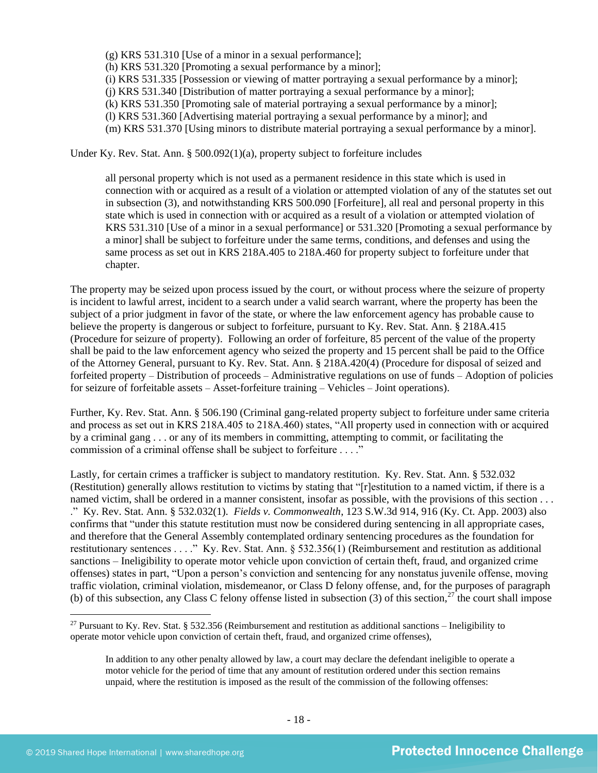(g) KRS 531.310 [Use of a minor in a sexual performance];

(h) KRS 531.320 [Promoting a sexual performance by a minor];

(i) KRS 531.335 [Possession or viewing of matter portraying a sexual performance by a minor];

(j) KRS 531.340 [Distribution of matter portraying a sexual performance by a minor];

(k) KRS 531.350 [Promoting sale of material portraying a sexual performance by a minor];

(l) KRS 531.360 [Advertising material portraying a sexual performance by a minor]; and

(m) KRS 531.370 [Using minors to distribute material portraying a sexual performance by a minor].

Under Ky. Rev. Stat. Ann. §  $500.092(1)(a)$ , property subject to forfeiture includes

all personal property which is not used as a permanent residence in this state which is used in connection with or acquired as a result of a violation or attempted violation of any of the statutes set out in subsection (3), and notwithstanding KRS 500.090 [Forfeiture], all real and personal property in this state which is used in connection with or acquired as a result of a violation or attempted violation of KRS 531.310 [Use of a minor in a sexual performance] or 531.320 [Promoting a sexual performance by a minor] shall be subject to forfeiture under the same terms, conditions, and defenses and using the same process as set out in KRS 218A.405 to 218A.460 for property subject to forfeiture under that chapter.

The property may be seized upon process issued by the court, or without process where the seizure of property is incident to lawful arrest, incident to a search under a valid search warrant, where the property has been the subject of a prior judgment in favor of the state, or where the law enforcement agency has probable cause to believe the property is dangerous or subject to forfeiture, pursuant to Ky. Rev. Stat. Ann. § 218A.415 (Procedure for seizure of property). Following an order of forfeiture, 85 percent of the value of the property shall be paid to the law enforcement agency who seized the property and 15 percent shall be paid to the Office of the Attorney General, pursuant to Ky. Rev. Stat. Ann. § 218A.420(4) (Procedure for disposal of seized and forfeited property – Distribution of proceeds – Administrative regulations on use of funds – Adoption of policies for seizure of forfeitable assets – Asset-forfeiture training – Vehicles – Joint operations).

Further, Ky. Rev. Stat. Ann. § 506.190 (Criminal gang-related property subject to forfeiture under same criteria and process as set out in KRS 218A.405 to 218A.460) states, "All property used in connection with or acquired by a criminal gang . . . or any of its members in committing, attempting to commit, or facilitating the commission of a criminal offense shall be subject to forfeiture . . . ."

Lastly, for certain crimes a trafficker is subject to mandatory restitution. Ky. Rev. Stat. Ann. § 532.032 (Restitution) generally allows restitution to victims by stating that "[r]estitution to a named victim, if there is a named victim, shall be ordered in a manner consistent, insofar as possible, with the provisions of this section . . . ." Ky. Rev. Stat. Ann. § 532.032(1). *Fields v. Commonwealth*, 123 S.W.3d 914, 916 (Ky. Ct. App. 2003) also confirms that "under this statute restitution must now be considered during sentencing in all appropriate cases, and therefore that the General Assembly contemplated ordinary sentencing procedures as the foundation for restitutionary sentences . . . ." Ky. Rev. Stat. Ann. § 532.356(1) (Reimbursement and restitution as additional sanctions – Ineligibility to operate motor vehicle upon conviction of certain theft, fraud, and organized crime offenses) states in part, "Upon a person's conviction and sentencing for any nonstatus juvenile offense, moving traffic violation, criminal violation, misdemeanor, or Class D felony offense, and, for the purposes of paragraph (b) of this subsection, any Class C felony offense listed in subsection  $(3)$  of this section,<sup>27</sup> the court shall impose

<sup>&</sup>lt;sup>27</sup> Pursuant to Ky. Rev. Stat. § 532.356 (Reimbursement and restitution as additional sanctions – Ineligibility to operate motor vehicle upon conviction of certain theft, fraud, and organized crime offenses),

In addition to any other penalty allowed by law, a court may declare the defendant ineligible to operate a motor vehicle for the period of time that any amount of restitution ordered under this section remains unpaid, where the restitution is imposed as the result of the commission of the following offenses: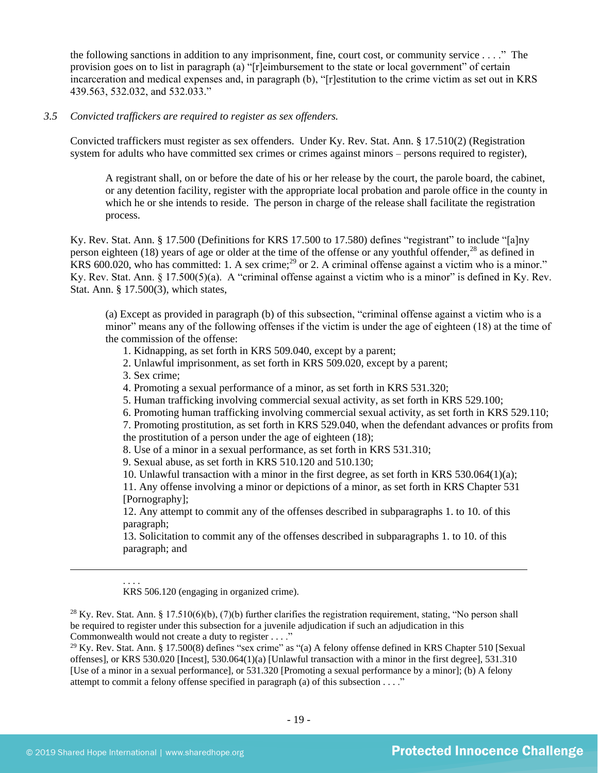the following sanctions in addition to any imprisonment, fine, court cost, or community service . . . ." The provision goes on to list in paragraph (a) "[r]eimbursement to the state or local government" of certain incarceration and medical expenses and, in paragraph (b), "[r]estitution to the crime victim as set out in KRS 439.563, 532.032, and 532.033."

#### *3.5 Convicted traffickers are required to register as sex offenders.*

Convicted traffickers must register as sex offenders. Under Ky. Rev. Stat. Ann. § 17.510(2) (Registration system for adults who have committed sex crimes or crimes against minors – persons required to register),

A registrant shall, on or before the date of his or her release by the court, the parole board, the cabinet, or any detention facility, register with the appropriate local probation and parole office in the county in which he or she intends to reside. The person in charge of the release shall facilitate the registration process.

Ky. Rev. Stat. Ann. § 17.500 (Definitions for KRS 17.500 to 17.580) defines "registrant" to include "[a]ny person eighteen (18) years of age or older at the time of the offense or any youthful offender,<sup>28</sup> as defined in  $KRS$  600.020, who has committed: 1. A sex crime;<sup>29</sup> or 2. A criminal offense against a victim who is a minor." Ky. Rev. Stat. Ann. § 17.500(5)(a). A "criminal offense against a victim who is a minor" is defined in Ky. Rev. Stat. Ann. § 17.500(3), which states,

(a) Except as provided in paragraph (b) of this subsection, "criminal offense against a victim who is a minor" means any of the following offenses if the victim is under the age of eighteen (18) at the time of the commission of the offense:

<span id="page-18-0"></span>1. Kidnapping, as set forth in KRS 509.040, except by a parent;

2. Unlawful imprisonment, as set forth in KRS 509.020, except by a parent;

3. Sex crime;

4. Promoting a sexual performance of a minor, as set forth in KRS 531.320;

5. Human trafficking involving commercial sexual activity, as set forth in KRS 529.100;

6. Promoting human trafficking involving commercial sexual activity, as set forth in KRS 529.110;

7. Promoting prostitution, as set forth in KRS 529.040, when the defendant advances or profits from the prostitution of a person under the age of eighteen (18);

8. Use of a minor in a sexual performance, as set forth in KRS 531.310;

9. Sexual abuse, as set forth in KRS 510.120 and 510.130;

10. Unlawful transaction with a minor in the first degree, as set forth in KRS 530.064(1)(a);

11. Any offense involving a minor or depictions of a minor, as set forth in KRS Chapter 531 [Pornography];

12. Any attempt to commit any of the offenses described in subparagraphs 1. to 10. of this paragraph;

13. Solicitation to commit any of the offenses described in subparagraphs 1. to 10. of this paragraph; and

. . . . KRS 506.120 (engaging in organized crime).

<sup>28</sup> Ky. Rev. Stat. Ann. § 17.510(6)(b), (7)(b) further clarifies the registration requirement, stating, "No person shall be required to register under this subsection for a juvenile adjudication if such an adjudication in this Commonwealth would not create a duty to register . . . ."

<sup>29</sup> Ky. Rev. Stat. Ann. § 17.500(8) defines "sex crime" as "(a) A felony offense defined in KRS Chapter 510 [Sexual offenses], or KRS 530.020 [Incest], 530.064(1)(a) [Unlawful transaction with a minor in the first degree], 531.310 [Use of a minor in a sexual performance], or 531.320 [Promoting a sexual performance by a minor]; (b) A felony attempt to commit a felony offense specified in paragraph (a) of this subsection . . . ."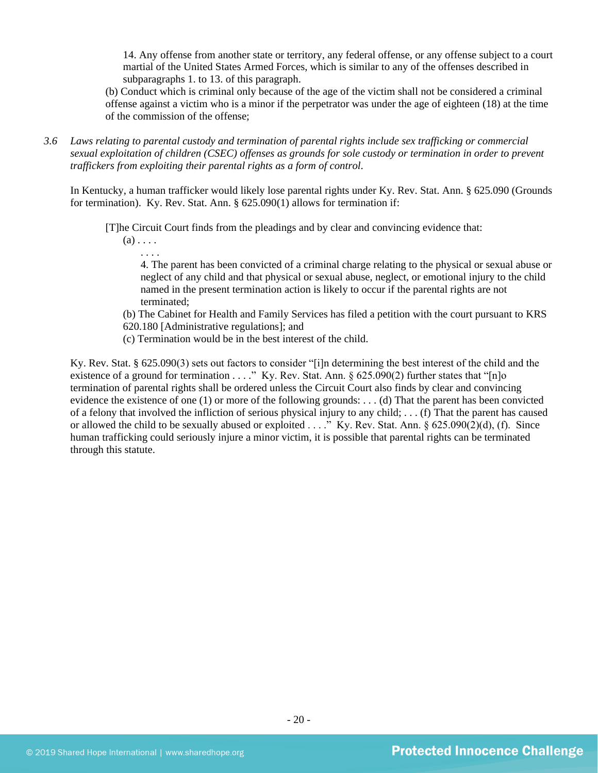14. Any offense from another state or territory, any federal offense, or any offense subject to a court martial of the United States Armed Forces, which is similar to any of the offenses described in subparagraphs 1. to 13. of this paragraph.

(b) Conduct which is criminal only because of the age of the victim shall not be considered a criminal offense against a victim who is a minor if the perpetrator was under the age of eighteen (18) at the time of the commission of the offense;

*3.6 Laws relating to parental custody and termination of parental rights include sex trafficking or commercial sexual exploitation of children (CSEC) offenses as grounds for sole custody or termination in order to prevent traffickers from exploiting their parental rights as a form of control.* 

In Kentucky, a human trafficker would likely lose parental rights under Ky. Rev. Stat. Ann. § 625.090 (Grounds for termination). Ky. Rev. Stat. Ann. § 625.090(1) allows for termination if:

[T]he Circuit Court finds from the pleadings and by clear and convincing evidence that:

 $(a) \ldots$ . . . . .

> 4. The parent has been convicted of a criminal charge relating to the physical or sexual abuse or neglect of any child and that physical or sexual abuse, neglect, or emotional injury to the child named in the present termination action is likely to occur if the parental rights are not terminated;

(b) The Cabinet for Health and Family Services has filed a petition with the court pursuant to KRS 620.180 [Administrative regulations]; and

(c) Termination would be in the best interest of the child.

Ky. Rev. Stat. § 625.090(3) sets out factors to consider "[i]n determining the best interest of the child and the existence of a ground for termination . . . ." Ky. Rev. Stat. Ann. § 625.090(2) further states that "[n]o termination of parental rights shall be ordered unless the Circuit Court also finds by clear and convincing evidence the existence of one (1) or more of the following grounds: . . . (d) That the parent has been convicted of a felony that involved the infliction of serious physical injury to any child; . . . (f) That the parent has caused or allowed the child to be sexually abused or exploited . . . ." Ky. Rev. Stat. Ann. § 625.090(2)(d), (f). Since human trafficking could seriously injure a minor victim, it is possible that parental rights can be terminated through this statute.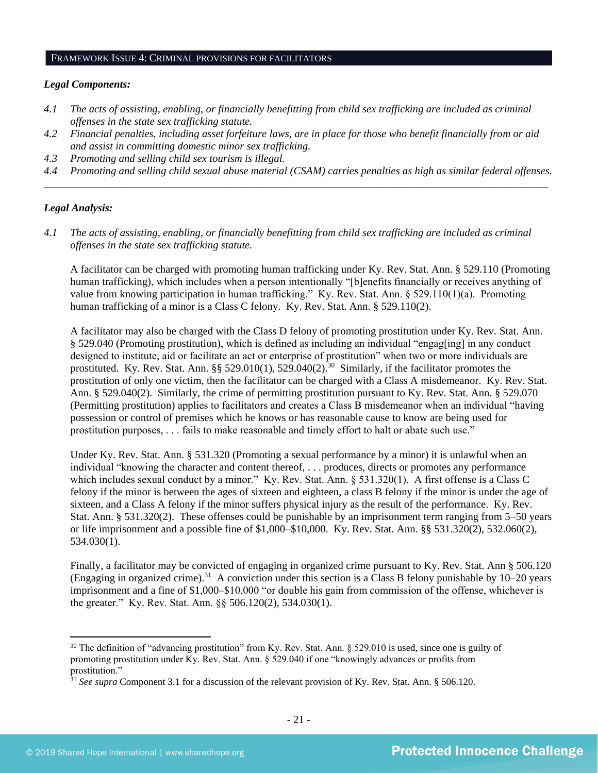#### FRAMEWORK ISSUE 4: CRIMINAL PROVISIONS FOR FACILITATORS

#### *Legal Components:*

- *4.1 The acts of assisting, enabling, or financially benefitting from child sex trafficking are included as criminal offenses in the state sex trafficking statute.*
- *4.2 Financial penalties, including asset forfeiture laws, are in place for those who benefit financially from or aid and assist in committing domestic minor sex trafficking.*
- *4.3 Promoting and selling child sex tourism is illegal.*
- *4.4 Promoting and selling child sexual abuse material (CSAM) carries penalties as high as similar federal offenses. \_\_\_\_\_\_\_\_\_\_\_\_\_\_\_\_\_\_\_\_\_\_\_\_\_\_\_\_\_\_\_\_\_\_\_\_\_\_\_\_\_\_\_\_\_\_\_\_\_\_\_\_\_\_\_\_\_\_\_\_\_\_\_\_\_\_\_\_\_\_\_\_\_\_\_\_\_\_\_\_\_\_\_\_\_\_\_\_\_\_\_\_\_\_*

## *Legal Analysis:*

*4.1 The acts of assisting, enabling, or financially benefitting from child sex trafficking are included as criminal offenses in the state sex trafficking statute.*

A facilitator can be charged with promoting human trafficking under Ky. Rev. Stat. Ann. § 529.110 (Promoting human trafficking), which includes when a person intentionally "[b]enefits financially or receives anything of value from knowing participation in human trafficking." Ky. Rev. Stat. Ann. § 529.110(1)(a). Promoting human trafficking of a minor is a Class C felony. Ky. Rev. Stat. Ann. § 529.110(2).

A facilitator may also be charged with the Class D felony of promoting prostitution under Ky. Rev. Stat. Ann. § 529.040 (Promoting prostitution), which is defined as including an individual "engag[ing] in any conduct designed to institute, aid or facilitate an act or enterprise of prostitution" when two or more individuals are prostituted. Ky. Rev. Stat. Ann. §§ 529.010(1), 529.040(2).<sup>30</sup> Similarly, if the facilitator promotes the prostitution of only one victim, then the facilitator can be charged with a Class A misdemeanor. Ky. Rev. Stat. Ann. § 529.040(2). Similarly, the crime of permitting prostitution pursuant to Ky. Rev. Stat. Ann. § 529.070 (Permitting prostitution) applies to facilitators and creates a Class B misdemeanor when an individual "having possession or control of premises which he knows or has reasonable cause to know are being used for prostitution purposes, . . . fails to make reasonable and timely effort to halt or abate such use."

Under Ky. Rev. Stat. Ann. § 531.320 (Promoting a sexual performance by a minor) it is unlawful when an individual "knowing the character and content thereof, . . . produces, directs or promotes any performance which includes sexual conduct by a minor." Ky. Rev. Stat. Ann. § 531.320(1). A first offense is a Class C felony if the minor is between the ages of sixteen and eighteen, a class B felony if the minor is under the age of sixteen, and a Class A felony if the minor suffers physical injury as the result of the performance. Ky. Rev. Stat. Ann. § 531.320(2). These offenses could be punishable by an imprisonment term ranging from 5–50 years or life imprisonment and a possible fine of \$1,000–\$10,000. Ky. Rev. Stat. Ann. §§ 531.320(2), 532.060(2), 534.030(1).

Finally, a facilitator may be convicted of engaging in organized crime pursuant to Ky. Rev. Stat. Ann § 506.120 (Engaging in organized crime).<sup>31</sup> A conviction under this section is a Class B felony punishable by  $10-20$  years imprisonment and a fine of \$1,000–\$10,000 "or double his gain from commission of the offense, whichever is the greater." Ky. Rev. Stat. Ann. §§ 506.120(2), 534.030(1).

 $30$  The definition of "advancing prostitution" from Ky. Rev. Stat. Ann. § 529.010 is used, since one is guilty of promoting prostitution under Ky. Rev. Stat. Ann. § 529.040 if one "knowingly advances or profits from prostitution."

<sup>&</sup>lt;sup>31</sup> See supra Component 3.1 for a discussion of the relevant provision of Ky. Rev. Stat. Ann. § 506.120.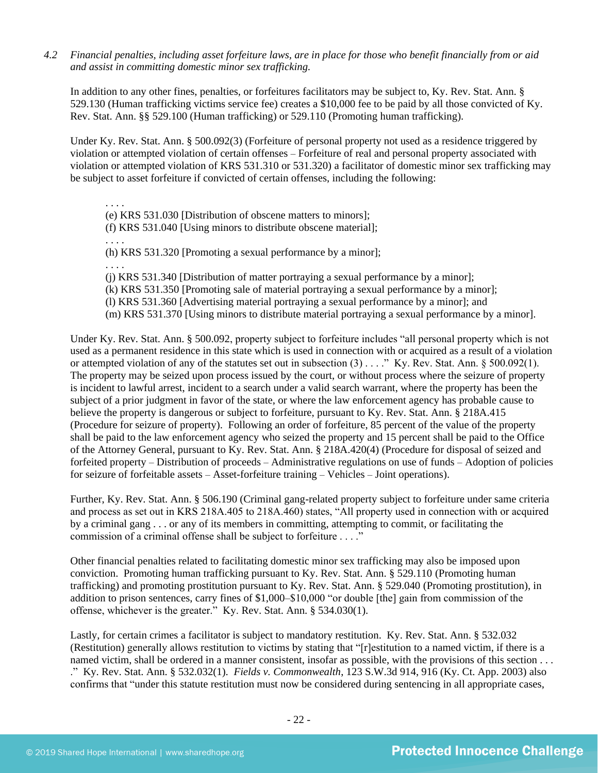*4.2 Financial penalties, including asset forfeiture laws, are in place for those who benefit financially from or aid and assist in committing domestic minor sex trafficking.*

In addition to any other fines, penalties, or forfeitures facilitators may be subject to, Ky. Rev. Stat. Ann. § 529.130 (Human trafficking victims service fee) creates a \$10,000 fee to be paid by all those convicted of Ky. Rev. Stat. Ann. §§ 529.100 (Human trafficking) or 529.110 (Promoting human trafficking).

Under Ky. Rev. Stat. Ann. § 500.092(3) (Forfeiture of personal property not used as a residence triggered by violation or attempted violation of certain offenses – Forfeiture of real and personal property associated with violation or attempted violation of KRS 531.310 or 531.320) a facilitator of domestic minor sex trafficking may be subject to asset forfeiture if convicted of certain offenses, including the following:

. . . . (e) KRS 531.030 [Distribution of obscene matters to minors]; (f) KRS 531.040 [Using minors to distribute obscene material]; . . . . (h) KRS 531.320 [Promoting a sexual performance by a minor]; . . . . (j) KRS 531.340 [Distribution of matter portraying a sexual performance by a minor]; (k) KRS 531.350 [Promoting sale of material portraying a sexual performance by a minor]; (l) KRS 531.360 [Advertising material portraying a sexual performance by a minor]; and (m) KRS 531.370 [Using minors to distribute material portraying a sexual performance by a minor].

Under Ky. Rev. Stat. Ann. § 500.092, property subject to forfeiture includes "all personal property which is not used as a permanent residence in this state which is used in connection with or acquired as a result of a violation or attempted violation of any of the statutes set out in subsection (3) . . . ." Ky. Rev. Stat. Ann. § 500.092(1). The property may be seized upon process issued by the court, or without process where the seizure of property is incident to lawful arrest, incident to a search under a valid search warrant, where the property has been the subject of a prior judgment in favor of the state, or where the law enforcement agency has probable cause to believe the property is dangerous or subject to forfeiture, pursuant to Ky. Rev. Stat. Ann. § 218A.415 (Procedure for seizure of property). Following an order of forfeiture, 85 percent of the value of the property shall be paid to the law enforcement agency who seized the property and 15 percent shall be paid to the Office of the Attorney General, pursuant to Ky. Rev. Stat. Ann. § 218A.420(4) (Procedure for disposal of seized and forfeited property – Distribution of proceeds – Administrative regulations on use of funds – Adoption of policies for seizure of forfeitable assets – Asset-forfeiture training – Vehicles – Joint operations).

Further, Ky. Rev. Stat. Ann. § 506.190 (Criminal gang-related property subject to forfeiture under same criteria and process as set out in KRS 218A.405 to 218A.460) states, "All property used in connection with or acquired by a criminal gang . . . or any of its members in committing, attempting to commit, or facilitating the commission of a criminal offense shall be subject to forfeiture . . . ."

Other financial penalties related to facilitating domestic minor sex trafficking may also be imposed upon conviction. Promoting human trafficking pursuant to Ky. Rev. Stat. Ann. § 529.110 (Promoting human trafficking) and promoting prostitution pursuant to Ky. Rev. Stat. Ann. § 529.040 (Promoting prostitution), in addition to prison sentences, carry fines of \$1,000–\$10,000 "or double [the] gain from commission of the offense, whichever is the greater." Ky. Rev. Stat. Ann. § 534.030(1).

Lastly, for certain crimes a facilitator is subject to mandatory restitution. Ky. Rev. Stat. Ann. § 532.032 (Restitution) generally allows restitution to victims by stating that "[r]estitution to a named victim, if there is a named victim, shall be ordered in a manner consistent, insofar as possible, with the provisions of this section ... ." Ky. Rev. Stat. Ann. § 532.032(1). *Fields v. Commonwealth*, 123 S.W.3d 914, 916 (Ky. Ct. App. 2003) also confirms that "under this statute restitution must now be considered during sentencing in all appropriate cases,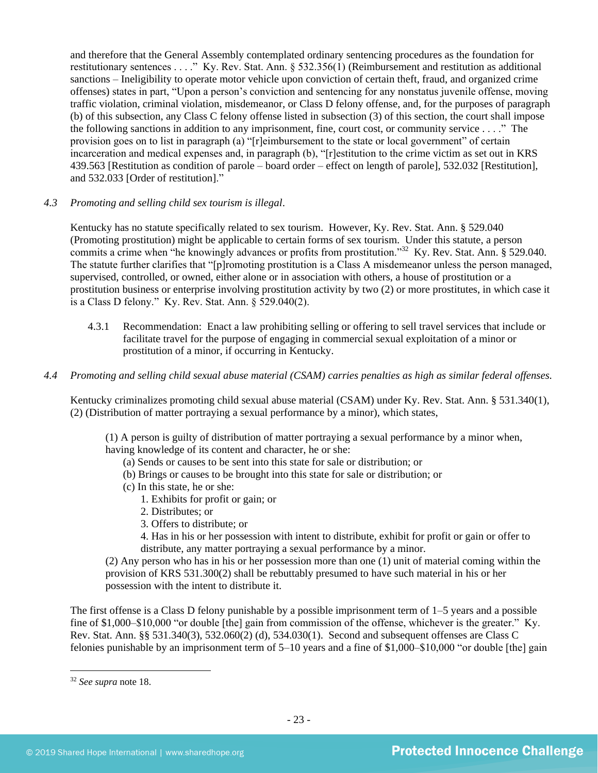and therefore that the General Assembly contemplated ordinary sentencing procedures as the foundation for restitutionary sentences . . . ." Ky. Rev. Stat. Ann. § 532.356(1) (Reimbursement and restitution as additional sanctions – Ineligibility to operate motor vehicle upon conviction of certain theft, fraud, and organized crime offenses) states in part, "Upon a person's conviction and sentencing for any nonstatus juvenile offense, moving traffic violation, criminal violation, misdemeanor, or Class D felony offense, and, for the purposes of paragraph (b) of this subsection, any Class C felony offense listed in subsection (3) of this section, the court shall impose the following sanctions in addition to any imprisonment, fine, court cost, or community service . . . ." The provision goes on to list in paragraph (a) "[r]eimbursement to the state or local government" of certain incarceration and medical expenses and, in paragraph (b), "[r]estitution to the crime victim as set out in KRS 439.563 [Restitution as condition of parole – board order – effect on length of parole], 532.032 [Restitution], and 532.033 [Order of restitution]."

## *4.3 Promoting and selling child sex tourism is illegal*.

Kentucky has no statute specifically related to sex tourism. However, Ky. Rev. Stat. Ann. § 529.040 (Promoting prostitution) might be applicable to certain forms of sex tourism. Under this statute, a person commits a crime when "he knowingly advances or profits from prostitution."<sup>32</sup> Ky. Rev. Stat. Ann. § 529.040. The statute further clarifies that "[p]romoting prostitution is a Class A misdemeanor unless the person managed, supervised, controlled, or owned, either alone or in association with others, a house of prostitution or a prostitution business or enterprise involving prostitution activity by two (2) or more prostitutes, in which case it is a Class D felony." Ky. Rev. Stat. Ann. § 529.040(2).

- 4.3.1 Recommendation: Enact a law prohibiting selling or offering to sell travel services that include or facilitate travel for the purpose of engaging in commercial sexual exploitation of a minor or prostitution of a minor, if occurring in Kentucky.
- *4.4 Promoting and selling child sexual abuse material (CSAM) carries penalties as high as similar federal offenses.*

Kentucky criminalizes promoting child sexual abuse material (CSAM) under Ky. Rev. Stat. Ann. § 531.340(1), (2) (Distribution of matter portraying a sexual performance by a minor), which states,

(1) A person is guilty of distribution of matter portraying a sexual performance by a minor when, having knowledge of its content and character, he or she:

- (a) Sends or causes to be sent into this state for sale or distribution; or
- (b) Brings or causes to be brought into this state for sale or distribution; or
- (c) In this state, he or she:
	- 1. Exhibits for profit or gain; or
	- 2. Distributes; or
	- 3. Offers to distribute; or
	- 4. Has in his or her possession with intent to distribute, exhibit for profit or gain or offer to distribute, any matter portraying a sexual performance by a minor.

(2) Any person who has in his or her possession more than one (1) unit of material coming within the provision of KRS 531.300(2) shall be rebuttably presumed to have such material in his or her possession with the intent to distribute it.

The first offense is a Class D felony punishable by a possible imprisonment term of 1–5 years and a possible fine of \$1,000–\$10,000 "or double [the] gain from commission of the offense, whichever is the greater." Ky. Rev. Stat. Ann. §§ 531.340(3), 532.060(2) (d), 534.030(1). Second and subsequent offenses are Class C felonies punishable by an imprisonment term of 5–10 years and a fine of \$1,000–\$10,000 "or double [the] gain

<sup>32</sup> *See supra* note [18.](#page-13-0)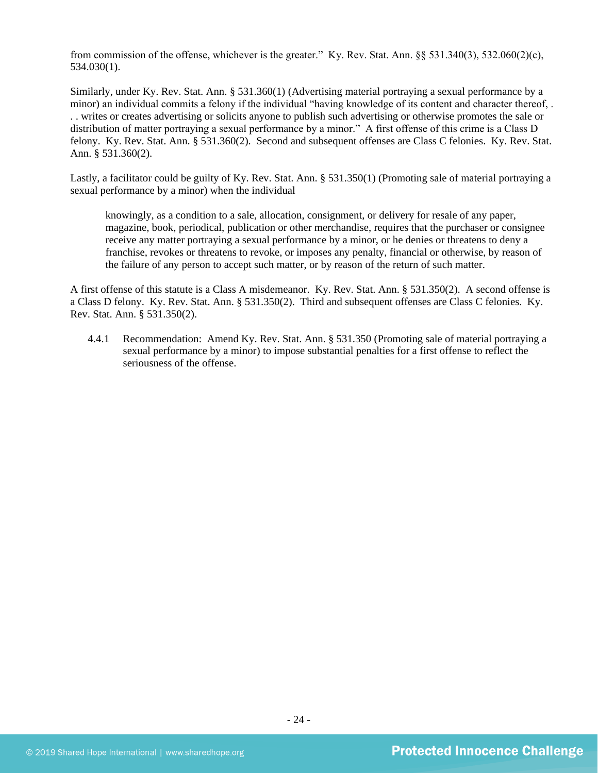from commission of the offense, whichever is the greater." Ky. Rev. Stat. Ann. §§ 531.340(3), 532.060(2)(c), 534.030(1).

Similarly, under Ky. Rev. Stat. Ann. § 531.360(1) (Advertising material portraying a sexual performance by a minor) an individual commits a felony if the individual "having knowledge of its content and character thereof, . . . writes or creates advertising or solicits anyone to publish such advertising or otherwise promotes the sale or distribution of matter portraying a sexual performance by a minor." A first offense of this crime is a Class D felony. Ky. Rev. Stat. Ann. § 531.360(2). Second and subsequent offenses are Class C felonies. Ky. Rev. Stat. Ann. § 531.360(2).

Lastly, a facilitator could be guilty of Ky. Rev. Stat. Ann. § 531.350(1) (Promoting sale of material portraying a sexual performance by a minor) when the individual

knowingly, as a condition to a sale, allocation, consignment, or delivery for resale of any paper, magazine, book, periodical, publication or other merchandise, requires that the purchaser or consignee receive any matter portraying a sexual performance by a minor, or he denies or threatens to deny a franchise, revokes or threatens to revoke, or imposes any penalty, financial or otherwise, by reason of the failure of any person to accept such matter, or by reason of the return of such matter.

A first offense of this statute is a Class A misdemeanor. Ky. Rev. Stat. Ann. § 531.350(2). A second offense is a Class D felony. Ky. Rev. Stat. Ann. § 531.350(2). Third and subsequent offenses are Class C felonies. Ky. Rev. Stat. Ann. § 531.350(2).

4.4.1 Recommendation: Amend Ky. Rev. Stat. Ann. § 531.350 (Promoting sale of material portraying a sexual performance by a minor) to impose substantial penalties for a first offense to reflect the seriousness of the offense.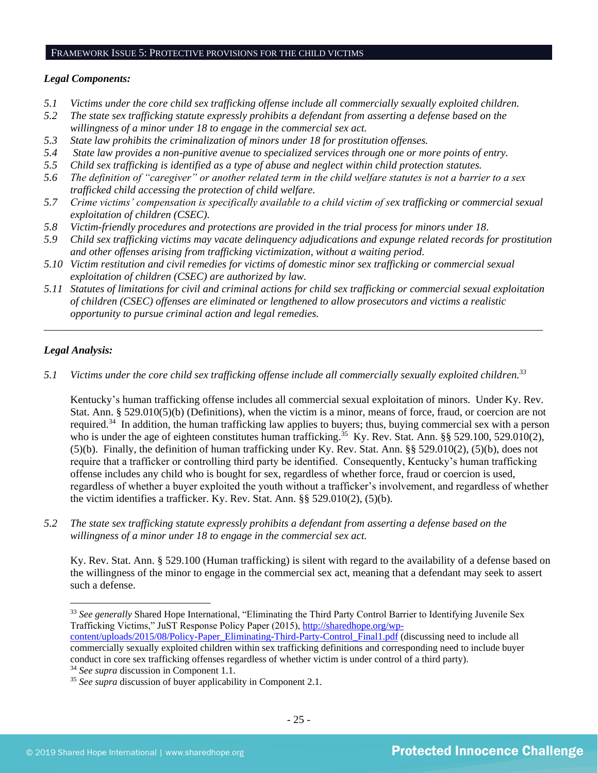#### FRAMEWORK ISSUE 5: PROTECTIVE PROVISIONS FOR THE CHILD VICTIMS

## *Legal Components:*

- *5.1 Victims under the core child sex trafficking offense include all commercially sexually exploited children.*
- *5.2 The state sex trafficking statute expressly prohibits a defendant from asserting a defense based on the willingness of a minor under 18 to engage in the commercial sex act.*
- *5.3 State law prohibits the criminalization of minors under 18 for prostitution offenses.*
- *5.4 State law provides a non-punitive avenue to specialized services through one or more points of entry.*
- *5.5 Child sex trafficking is identified as a type of abuse and neglect within child protection statutes.*
- *5.6 The definition of "caregiver" or another related term in the child welfare statutes is not a barrier to a sex trafficked child accessing the protection of child welfare.*
- *5.7 Crime victims' compensation is specifically available to a child victim of sex trafficking or commercial sexual exploitation of children (CSEC).*
- *5.8 Victim-friendly procedures and protections are provided in the trial process for minors under 18.*
- *5.9 Child sex trafficking victims may vacate delinquency adjudications and expunge related records for prostitution and other offenses arising from trafficking victimization, without a waiting period.*
- *5.10 Victim restitution and civil remedies for victims of domestic minor sex trafficking or commercial sexual exploitation of children (CSEC) are authorized by law.*
- *5.11 Statutes of limitations for civil and criminal actions for child sex trafficking or commercial sexual exploitation of children (CSEC) offenses are eliminated or lengthened to allow prosecutors and victims a realistic opportunity to pursue criminal action and legal remedies.*

*\_\_\_\_\_\_\_\_\_\_\_\_\_\_\_\_\_\_\_\_\_\_\_\_\_\_\_\_\_\_\_\_\_\_\_\_\_\_\_\_\_\_\_\_\_\_\_\_\_\_\_\_\_\_\_\_\_\_\_\_\_\_\_\_\_\_\_\_\_\_\_\_\_\_\_\_\_\_\_\_\_\_\_\_\_\_\_\_\_\_\_\_\_*

## *Legal Analysis:*

*5.1 Victims under the core child sex trafficking offense include all commercially sexually exploited children. 33*

Kentucky's human trafficking offense includes all commercial sexual exploitation of minors. Under Ky. Rev. Stat. Ann. § 529.010(5)(b) (Definitions), when the victim is a minor, means of force, fraud, or coercion are not required.<sup>34</sup> In addition, the human trafficking law applies to buyers; thus, buying commercial sex with a person who is under the age of eighteen constitutes human trafficking.<sup>35</sup> Ky. Rev. Stat. Ann. §§ 529.100, 529.010(2), (5)(b). Finally, the definition of human trafficking under Ky. Rev. Stat. Ann. §§ 529.010(2), (5)(b), does not require that a trafficker or controlling third party be identified. Consequently, Kentucky's human trafficking offense includes any child who is bought for sex, regardless of whether force, fraud or coercion is used, regardless of whether a buyer exploited the youth without a trafficker's involvement, and regardless of whether the victim identifies a trafficker. Ky. Rev. Stat. Ann. §§ 529.010(2), (5)(b).

*5.2 The state sex trafficking statute expressly prohibits a defendant from asserting a defense based on the willingness of a minor under 18 to engage in the commercial sex act.*

Ky. Rev. Stat. Ann. § 529.100 (Human trafficking) is silent with regard to the availability of a defense based on the willingness of the minor to engage in the commercial sex act, meaning that a defendant may seek to assert such a defense.

<sup>&</sup>lt;sup>33</sup> See generally Shared Hope International, "Eliminating the Third Party Control Barrier to Identifying Juvenile Sex Trafficking Victims," JuST Response Policy Paper (2015), [http://sharedhope.org/wp](http://sharedhope.org/wp-content/uploads/2015/08/Policy-Paper_Eliminating-Third-Party-Control_Final1.pdf)[content/uploads/2015/08/Policy-Paper\\_Eliminating-Third-Party-Control\\_Final1.pdf](http://sharedhope.org/wp-content/uploads/2015/08/Policy-Paper_Eliminating-Third-Party-Control_Final1.pdf) (discussing need to include all commercially sexually exploited children within sex trafficking definitions and corresponding need to include buyer

conduct in core sex trafficking offenses regardless of whether victim is under control of a third party).

<sup>34</sup> *See supra* discussion in Component 1.1.

<sup>35</sup> *See supra* discussion of buyer applicability in Component 2.1.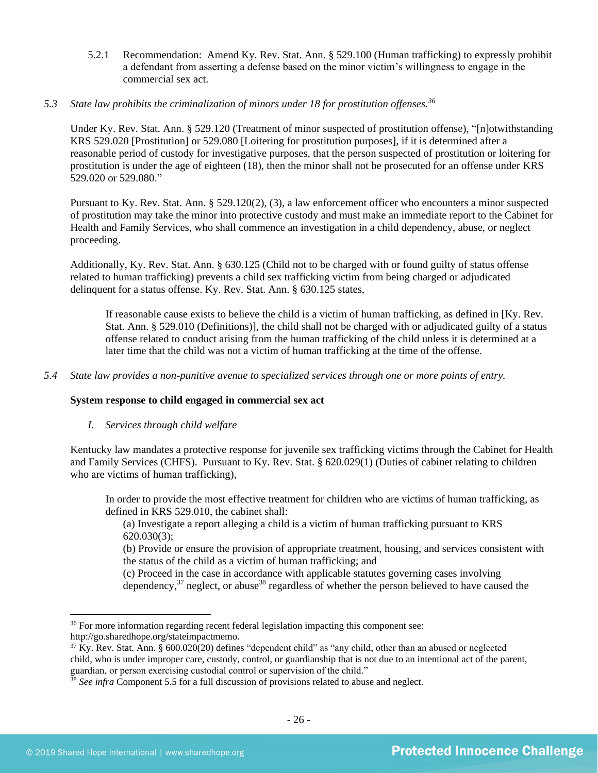- 5.2.1 Recommendation: Amend Ky. Rev. Stat. Ann. § 529.100 (Human trafficking) to expressly prohibit a defendant from asserting a defense based on the minor victim's willingness to engage in the commercial sex act.
- *5.3 State law prohibits the criminalization of minors under 18 for prostitution offenses.<sup>36</sup>*

Under Ky. Rev. Stat. Ann. § 529.120 (Treatment of minor suspected of prostitution offense), "[n]otwithstanding KRS 529.020 [Prostitution] or 529.080 [Loitering for prostitution purposes], if it is determined after a reasonable period of custody for investigative purposes, that the person suspected of prostitution or loitering for prostitution is under the age of eighteen (18), then the minor shall not be prosecuted for an offense under KRS 529.020 or 529.080."

Pursuant to Ky. Rev. Stat. Ann. § 529.120(2), (3), a law enforcement officer who encounters a minor suspected of prostitution may take the minor into protective custody and must make an immediate report to the Cabinet for Health and Family Services, who shall commence an investigation in a child dependency, abuse, or neglect proceeding.

Additionally, Ky. Rev. Stat. Ann. § 630.125 (Child not to be charged with or found guilty of status offense related to human trafficking) prevents a child sex trafficking victim from being charged or adjudicated delinquent for a status offense. Ky. Rev. Stat. Ann. § 630.125 states,

If reasonable cause exists to believe the child is a victim of human trafficking, as defined in [Ky. Rev. Stat. Ann. § 529.010 (Definitions)], the child shall not be charged with or adjudicated guilty of a status offense related to conduct arising from the human trafficking of the child unless it is determined at a later time that the child was not a victim of human trafficking at the time of the offense.

*5.4 State law provides a non-punitive avenue to specialized services through one or more points of entry.*

## **System response to child engaged in commercial sex act**

## *I. Services through child welfare*

Kentucky law mandates a protective response for juvenile sex trafficking victims through the Cabinet for Health and Family Services (CHFS). Pursuant to Ky. Rev. Stat. § 620.029(1) (Duties of cabinet relating to children who are victims of human trafficking),

In order to provide the most effective treatment for children who are victims of human trafficking, as defined in KRS 529.010, the cabinet shall:

(a) Investigate a report alleging a child is a victim of human trafficking pursuant to KRS 620.030(3);

(b) Provide or ensure the provision of appropriate treatment, housing, and services consistent with the status of the child as a victim of human trafficking; and

(c) Proceed in the case in accordance with applicable statutes governing cases involving dependency,  $37$  neglect, or abuse  $38$  regardless of whether the person believed to have caused the

<sup>&</sup>lt;sup>36</sup> For more information regarding recent federal legislation impacting this component see: http://go.sharedhope.org/stateimpactmemo.

<sup>&</sup>lt;sup>37</sup> Ky. Rev. Stat. Ann. § 600.020(20) defines "dependent child" as "any child, other than an abused or neglected child, who is under improper care, custody, control, or guardianship that is not due to an intentional act of the parent, guardian, or person exercising custodial control or supervision of the child."

<sup>&</sup>lt;sup>38</sup> See infra Component 5.5 for a full discussion of provisions related to abuse and neglect.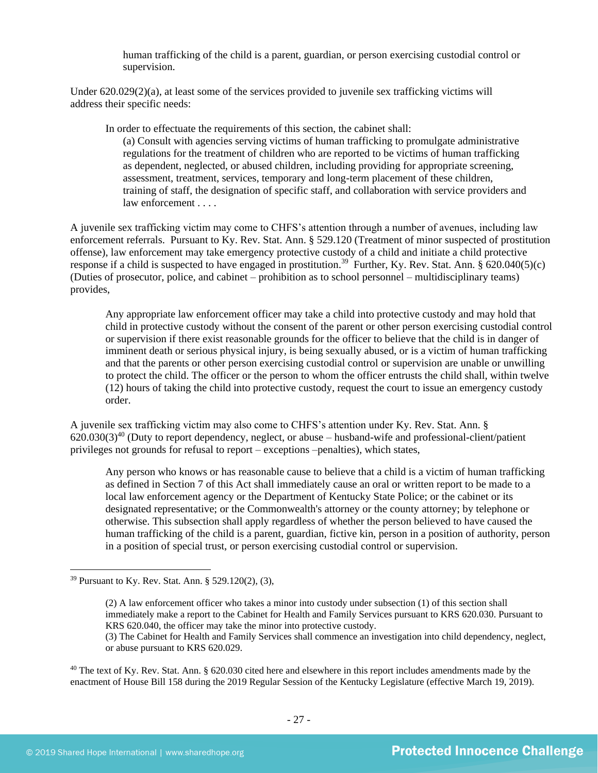human trafficking of the child is a parent, guardian, or person exercising custodial control or supervision.

Under 620.029(2)(a), at least some of the services provided to juvenile sex trafficking victims will address their specific needs:

In order to effectuate the requirements of this section, the cabinet shall:

(a) Consult with agencies serving victims of human trafficking to promulgate administrative regulations for the treatment of children who are reported to be victims of human trafficking as dependent, neglected, or abused children, including providing for appropriate screening, assessment, treatment, services, temporary and long-term placement of these children, training of staff, the designation of specific staff, and collaboration with service providers and law enforcement . . . .

A juvenile sex trafficking victim may come to CHFS's attention through a number of avenues, including law enforcement referrals. Pursuant to Ky. Rev. Stat. Ann. § 529.120 (Treatment of minor suspected of prostitution offense), law enforcement may take emergency protective custody of a child and initiate a child protective response if a child is suspected to have engaged in prostitution.<sup>39</sup> Further, Ky. Rev. Stat. Ann.  $\S$  620.040(5)(c) (Duties of prosecutor, police, and cabinet – prohibition as to school personnel – multidisciplinary teams) provides,

Any appropriate law enforcement officer may take a child into protective custody and may hold that child in protective custody without the consent of the parent or other person exercising custodial control or supervision if there exist reasonable grounds for the officer to believe that the child is in danger of imminent death or serious physical injury, is being sexually abused, or is a victim of human trafficking and that the parents or other person exercising custodial control or supervision are unable or unwilling to protect the child. The officer or the person to whom the officer entrusts the child shall, within twelve (12) hours of taking the child into protective custody, request the court to issue an emergency custody order.

A juvenile sex trafficking victim may also come to CHFS's attention under Ky. Rev. Stat. Ann. §  $620.030(3)^{40}$  (Duty to report dependency, neglect, or abuse – husband-wife and professional-client/patient privileges not grounds for refusal to report – exceptions –penalties), which states,

Any person who knows or has reasonable cause to believe that a child is a victim of human trafficking as defined in Section 7 of this Act shall immediately cause an oral or written report to be made to a local law enforcement agency or the Department of Kentucky State Police; or the cabinet or its designated representative; or the Commonwealth's attorney or the county attorney; by telephone or otherwise. This subsection shall apply regardless of whether the person believed to have caused the human trafficking of the child is a parent, guardian, fictive kin, person in a position of authority, person in a position of special trust, or person exercising custodial control or supervision.

<sup>39</sup> Pursuant to Ky. Rev. Stat. Ann. § 529.120(2), (3),

<sup>(2)</sup> A law enforcement officer who takes a minor into custody under subsection (1) of this section shall immediately make a report to the Cabinet for Health and Family Services pursuant to KRS 620.030. Pursuant to KRS 620.040, the officer may take the minor into protective custody. (3) The Cabinet for Health and Family Services shall commence an investigation into child dependency, neglect,

or abuse pursuant to KRS 620.029.

 $40$  The text of Ky. Rev. Stat. Ann. § 620.030 cited here and elsewhere in this report includes amendments made by the enactment of House Bill 158 during the 2019 Regular Session of the Kentucky Legislature (effective March 19, 2019).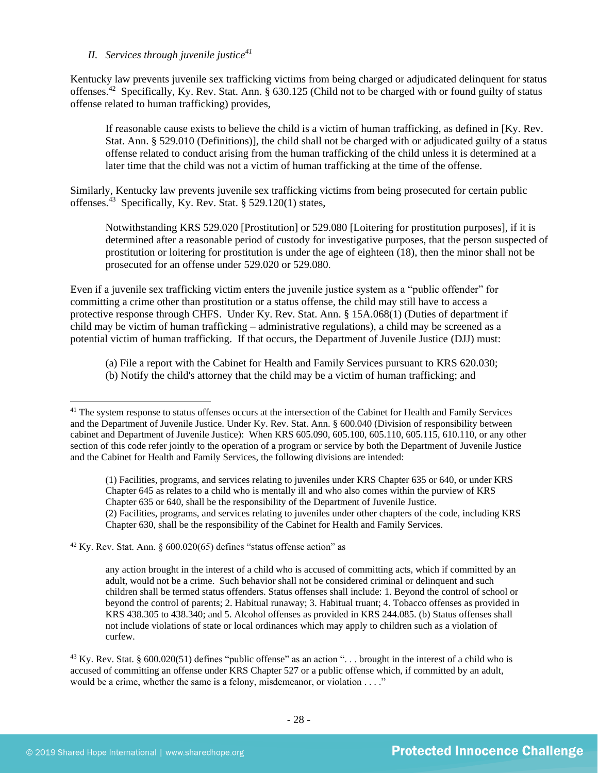## *II. Services through juvenile justice<sup>41</sup>*

Kentucky law prevents juvenile sex trafficking victims from being charged or adjudicated delinquent for status offenses.<sup>42</sup> Specifically, Ky. Rev. Stat. Ann. § 630.125 (Child not to be charged with or found guilty of status offense related to human trafficking) provides,

If reasonable cause exists to believe the child is a victim of human trafficking, as defined in [Ky. Rev. Stat. Ann. § 529.010 (Definitions)], the child shall not be charged with or adjudicated guilty of a status offense related to conduct arising from the human trafficking of the child unless it is determined at a later time that the child was not a victim of human trafficking at the time of the offense.

Similarly, Kentucky law prevents juvenile sex trafficking victims from being prosecuted for certain public offenses.<sup>43</sup> Specifically, Ky. Rev. Stat. § 529.120(1) states,

Notwithstanding KRS 529.020 [Prostitution] or 529.080 [Loitering for prostitution purposes], if it is determined after a reasonable period of custody for investigative purposes, that the person suspected of prostitution or loitering for prostitution is under the age of eighteen (18), then the minor shall not be prosecuted for an offense under 529.020 or 529.080.

Even if a juvenile sex trafficking victim enters the juvenile justice system as a "public offender" for committing a crime other than prostitution or a status offense, the child may still have to access a protective response through CHFS. Under Ky. Rev. Stat. Ann. § 15A.068(1) (Duties of department if child may be victim of human trafficking – administrative regulations), a child may be screened as a potential victim of human trafficking. If that occurs, the Department of Juvenile Justice (DJJ) must:

(a) File a report with the Cabinet for Health and Family Services pursuant to KRS 620.030; (b) Notify the child's attorney that the child may be a victim of human trafficking; and

 $42$  Ky. Rev. Stat. Ann. § 600.020(65) defines "status offense action" as

<sup>&</sup>lt;sup>41</sup> The system response to status offenses occurs at the intersection of the Cabinet for Health and Family Services and the Department of Juvenile Justice. Under Ky. Rev. Stat. Ann. § 600.040 (Division of responsibility between cabinet and Department of Juvenile Justice): When KRS 605.090, 605.100, 605.110, 605.115, 610.110, or any other section of this code refer jointly to the operation of a program or service by both the Department of Juvenile Justice and the Cabinet for Health and Family Services, the following divisions are intended:

<sup>(1)</sup> Facilities, programs, and services relating to juveniles under KRS Chapter 635 or 640, or under KRS Chapter 645 as relates to a child who is mentally ill and who also comes within the purview of KRS Chapter 635 or 640, shall be the responsibility of the Department of Juvenile Justice. (2) Facilities, programs, and services relating to juveniles under other chapters of the code, including KRS Chapter 630, shall be the responsibility of the Cabinet for Health and Family Services.

any action brought in the interest of a child who is accused of committing acts, which if committed by an adult, would not be a crime. Such behavior shall not be considered criminal or delinquent and such children shall be termed status offenders. Status offenses shall include: 1. Beyond the control of school or beyond the control of parents; 2. Habitual runaway; 3. Habitual truant; 4. Tobacco offenses as provided in KRS 438.305 to 438.340; and 5. Alcohol offenses as provided in KRS 244.085. (b) Status offenses shall not include violations of state or local ordinances which may apply to children such as a violation of curfew.

 $43$  Ky. Rev. Stat. § 600.020(51) defines "public offense" as an action "... brought in the interest of a child who is accused of committing an offense under KRS Chapter 527 or a public offense which, if committed by an adult, would be a crime, whether the same is a felony, misdemeanor, or violation . . . ."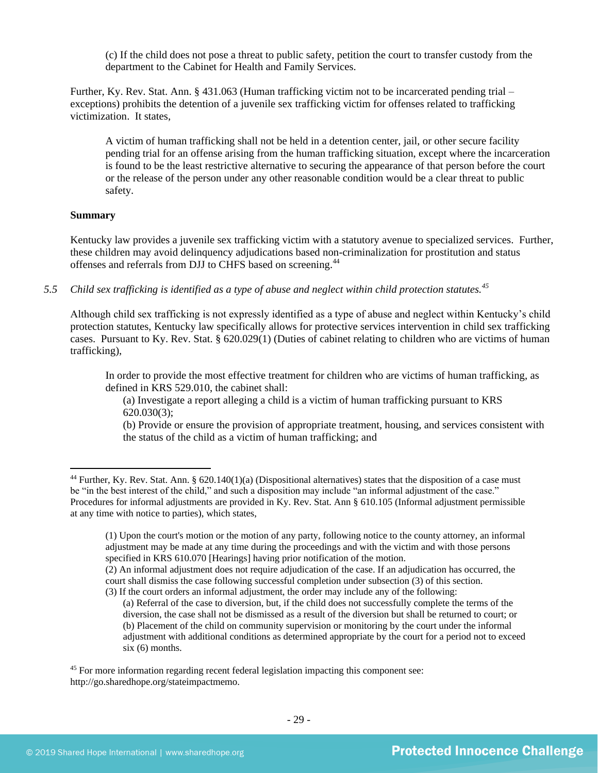(c) If the child does not pose a threat to public safety, petition the court to transfer custody from the department to the Cabinet for Health and Family Services.

Further, Ky. Rev. Stat. Ann. § 431.063 (Human trafficking victim not to be incarcerated pending trial – exceptions) prohibits the detention of a juvenile sex trafficking victim for offenses related to trafficking victimization. It states,

A victim of human trafficking shall not be held in a detention center, jail, or other secure facility pending trial for an offense arising from the human trafficking situation, except where the incarceration is found to be the least restrictive alternative to securing the appearance of that person before the court or the release of the person under any other reasonable condition would be a clear threat to public safety.

## **Summary**

Kentucky law provides a juvenile sex trafficking victim with a statutory avenue to specialized services. Further, these children may avoid delinquency adjudications based non-criminalization for prostitution and status offenses and referrals from DJJ to CHFS based on screening.<sup>44</sup>

*5.5 Child sex trafficking is identified as a type of abuse and neglect within child protection statutes.<sup>45</sup>*

Although child sex trafficking is not expressly identified as a type of abuse and neglect within Kentucky's child protection statutes, Kentucky law specifically allows for protective services intervention in child sex trafficking cases. Pursuant to Ky. Rev. Stat. § 620.029(1) (Duties of cabinet relating to children who are victims of human trafficking),

In order to provide the most effective treatment for children who are victims of human trafficking, as defined in KRS 529.010, the cabinet shall:

(a) Investigate a report alleging a child is a victim of human trafficking pursuant to KRS 620.030(3);

(b) Provide or ensure the provision of appropriate treatment, housing, and services consistent with the status of the child as a victim of human trafficking; and

<sup>&</sup>lt;sup>44</sup> Further, Ky. Rev. Stat. Ann. § 620.140(1)(a) (Dispositional alternatives) states that the disposition of a case must be "in the best interest of the child," and such a disposition may include "an informal adjustment of the case." Procedures for informal adjustments are provided in Ky. Rev. Stat. Ann § 610.105 (Informal adjustment permissible at any time with notice to parties), which states,

<sup>(1)</sup> Upon the court's motion or the motion of any party, following notice to the county attorney, an informal adjustment may be made at any time during the proceedings and with the victim and with those persons specified in KRS 610.070 [Hearings] having prior notification of the motion.

<sup>(2)</sup> An informal adjustment does not require adjudication of the case. If an adjudication has occurred, the court shall dismiss the case following successful completion under subsection (3) of this section. (3) If the court orders an informal adjustment, the order may include any of the following:

<sup>(</sup>a) Referral of the case to diversion, but, if the child does not successfully complete the terms of the

diversion, the case shall not be dismissed as a result of the diversion but shall be returned to court; or (b) Placement of the child on community supervision or monitoring by the court under the informal adjustment with additional conditions as determined appropriate by the court for a period not to exceed six (6) months.

<sup>&</sup>lt;sup>45</sup> For more information regarding recent federal legislation impacting this component see: http://go.sharedhope.org/stateimpactmemo.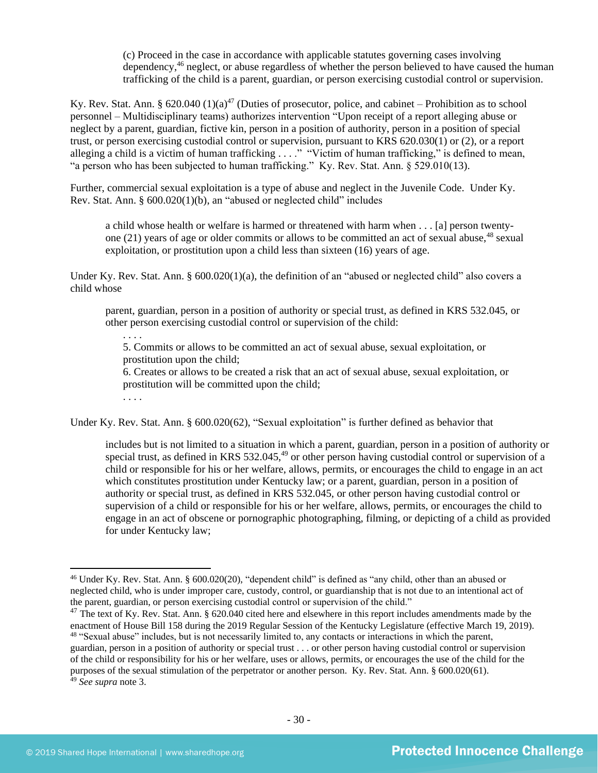(c) Proceed in the case in accordance with applicable statutes governing cases involving dependency,<sup>46</sup> neglect, or abuse regardless of whether the person believed to have caused the human trafficking of the child is a parent, guardian, or person exercising custodial control or supervision.

Ky. Rev. Stat. Ann. § 620.040 (1)(a)<sup>47</sup> (Duties of prosecutor, police, and cabinet – Prohibition as to school personnel – Multidisciplinary teams) authorizes intervention "Upon receipt of a report alleging abuse or neglect by a parent, guardian, fictive kin, person in a position of authority, person in a position of special trust, or person exercising custodial control or supervision, pursuant to KRS 620.030(1) or (2), or a report alleging a child is a victim of human trafficking . . . ." "Victim of human trafficking," is defined to mean, "a person who has been subjected to human trafficking." Ky. Rev. Stat. Ann. § 529.010(13).

Further, commercial sexual exploitation is a type of abuse and neglect in the Juvenile Code. Under Ky. Rev. Stat. Ann. § 600.020(1)(b), an "abused or neglected child" includes

a child whose health or welfare is harmed or threatened with harm when . . . [a] person twentyone (21) years of age or older commits or allows to be committed an act of sexual abuse,  $48$  sexual exploitation, or prostitution upon a child less than sixteen (16) years of age.

Under Ky. Rev. Stat. Ann. § 600.020(1)(a), the definition of an "abused or neglected child" also covers a child whose

parent, guardian, person in a position of authority or special trust, as defined in KRS 532.045, or other person exercising custodial control or supervision of the child:

5. Commits or allows to be committed an act of sexual abuse, sexual exploitation, or prostitution upon the child;

6. Creates or allows to be created a risk that an act of sexual abuse, sexual exploitation, or prostitution will be committed upon the child;

. . . .

. . . .

Under Ky. Rev. Stat. Ann. § 600.020(62), "Sexual exploitation" is further defined as behavior that

includes but is not limited to a situation in which a parent, guardian, person in a position of authority or special trust, as defined in KRS  $532.045<sup>49</sup>$  or other person having custodial control or supervision of a child or responsible for his or her welfare, allows, permits, or encourages the child to engage in an act which constitutes prostitution under Kentucky law; or a parent, guardian, person in a position of authority or special trust, as defined in KRS 532.045, or other person having custodial control or supervision of a child or responsible for his or her welfare, allows, permits, or encourages the child to engage in an act of obscene or pornographic photographing, filming, or depicting of a child as provided for under Kentucky law;

<sup>46</sup> Under Ky. Rev. Stat. Ann. § 600.020(20), "dependent child" is defined as "any child, other than an abused or neglected child, who is under improper care, custody, control, or guardianship that is not due to an intentional act of the parent, guardian, or person exercising custodial control or supervision of the child."

<sup>&</sup>lt;sup>47</sup> The text of Ky. Rev. Stat. Ann. § 620.040 cited here and elsewhere in this report includes amendments made by the enactment of House Bill 158 during the 2019 Regular Session of the Kentucky Legislature (effective March 19, 2019). <sup>48</sup> "Sexual abuse" includes, but is not necessarily limited to, any contacts or interactions in which the parent, guardian, person in a position of authority or special trust . . . or other person having custodial control or supervision

of the child or responsibility for his or her welfare, uses or allows, permits, or encourages the use of the child for the purposes of the sexual stimulation of the perpetrator or another person. Ky. Rev. Stat. Ann. § 600.020(61). <sup>49</sup> *See supra* note [3.](#page-3-0)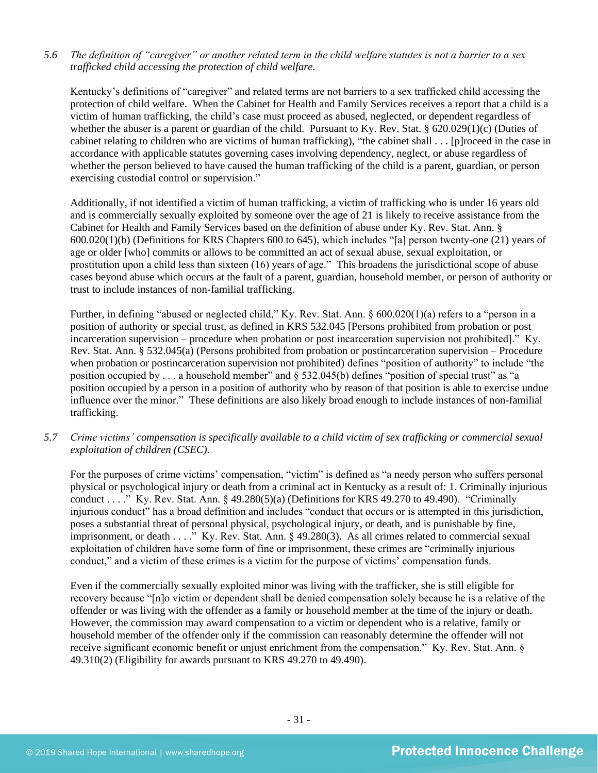## *5.6 The definition of "caregiver" or another related term in the child welfare statutes is not a barrier to a sex trafficked child accessing the protection of child welfare.*

Kentucky's definitions of "caregiver" and related terms are not barriers to a sex trafficked child accessing the protection of child welfare. When the Cabinet for Health and Family Services receives a report that a child is a victim of human trafficking, the child's case must proceed as abused, neglected, or dependent regardless of whether the abuser is a parent or guardian of the child. Pursuant to Ky. Rev. Stat. § 620.029(1)(c) (Duties of cabinet relating to children who are victims of human trafficking), "the cabinet shall . . . [p]roceed in the case in accordance with applicable statutes governing cases involving dependency, neglect, or abuse regardless of whether the person believed to have caused the human trafficking of the child is a parent, guardian, or person exercising custodial control or supervision."

Additionally, if not identified a victim of human trafficking, a victim of trafficking who is under 16 years old and is commercially sexually exploited by someone over the age of 21 is likely to receive assistance from the Cabinet for Health and Family Services based on the definition of abuse under Ky. Rev. Stat. Ann. § 600.020(1)(b) (Definitions for KRS Chapters 600 to 645), which includes "[a] person twenty-one (21) years of age or older [who] commits or allows to be committed an act of sexual abuse, sexual exploitation, or prostitution upon a child less than sixteen (16) years of age." This broadens the jurisdictional scope of abuse cases beyond abuse which occurs at the fault of a parent, guardian, household member, or person of authority or trust to include instances of non-familial trafficking.

Further, in defining "abused or neglected child," Ky. Rev. Stat. Ann. § 600.020(1)(a) refers to a "person in a position of authority or special trust, as defined in KRS 532.045 [Persons prohibited from probation or post incarceration supervision – procedure when probation or post incarceration supervision not prohibited]." Ky. Rev. Stat. Ann. § 532.045(a) (Persons prohibited from probation or postincarceration supervision – Procedure when probation or postincarceration supervision not prohibited) defines "position of authority" to include "the position occupied by . . . a household member" and § 532.045(b) defines "position of special trust" as "a position occupied by a person in a position of authority who by reason of that position is able to exercise undue influence over the minor." These definitions are also likely broad enough to include instances of non-familial trafficking.

*5.7 Crime victims' compensation is specifically available to a child victim of sex trafficking or commercial sexual exploitation of children (CSEC).*

For the purposes of crime victims' compensation, "victim" is defined as "a needy person who suffers personal physical or psychological injury or death from a criminal act in Kentucky as a result of: 1. Criminally injurious conduct . . . ." Ky. Rev. Stat. Ann. § 49.280(5)(a) (Definitions for KRS 49.270 to 49.490). "Criminally injurious conduct" has a broad definition and includes "conduct that occurs or is attempted in this jurisdiction, poses a substantial threat of personal physical, psychological injury, or death, and is punishable by fine, imprisonment, or death . . . ." Ky. Rev. Stat. Ann. § 49.280(3). As all crimes related to commercial sexual exploitation of children have some form of fine or imprisonment, these crimes are "criminally injurious conduct," and a victim of these crimes is a victim for the purpose of victims' compensation funds.

Even if the commercially sexually exploited minor was living with the trafficker, she is still eligible for recovery because "[n]o victim or dependent shall be denied compensation solely because he is a relative of the offender or was living with the offender as a family or household member at the time of the injury or death. However, the commission may award compensation to a victim or dependent who is a relative, family or household member of the offender only if the commission can reasonably determine the offender will not receive significant economic benefit or unjust enrichment from the compensation." Ky. Rev. Stat. Ann. § 49.310(2) (Eligibility for awards pursuant to KRS 49.270 to 49.490).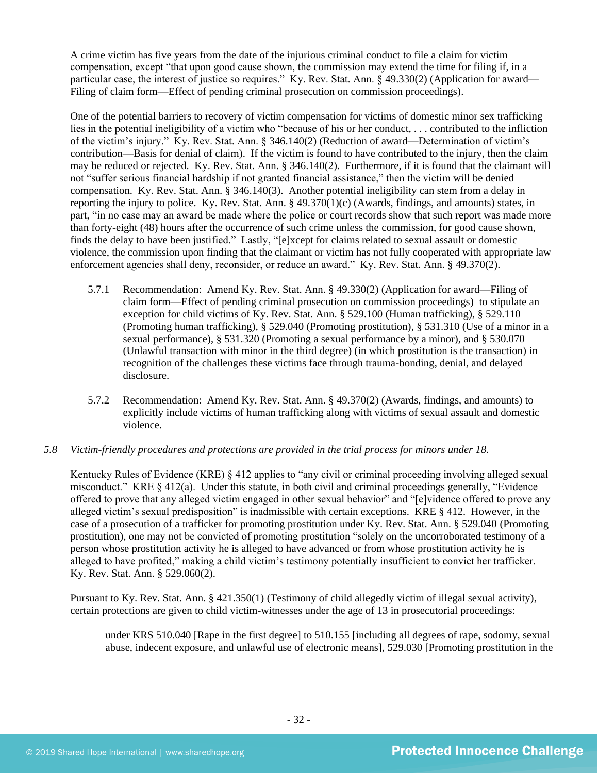A crime victim has five years from the date of the injurious criminal conduct to file a claim for victim compensation, except "that upon good cause shown, the commission may extend the time for filing if, in a particular case, the interest of justice so requires." Ky. Rev. Stat. Ann. § 49.330(2) (Application for award— Filing of claim form—Effect of pending criminal prosecution on commission proceedings).

One of the potential barriers to recovery of victim compensation for victims of domestic minor sex trafficking lies in the potential ineligibility of a victim who "because of his or her conduct, . . . contributed to the infliction of the victim's injury." Ky. Rev. Stat. Ann. § 346.140(2) (Reduction of award—Determination of victim's contribution—Basis for denial of claim). If the victim is found to have contributed to the injury, then the claim may be reduced or rejected. Ky. Rev. Stat. Ann. § 346.140(2). Furthermore, if it is found that the claimant will not "suffer serious financial hardship if not granted financial assistance," then the victim will be denied compensation. Ky. Rev. Stat. Ann. § 346.140(3). Another potential ineligibility can stem from a delay in reporting the injury to police. Ky. Rev. Stat. Ann. § 49.370(1)(c) (Awards, findings, and amounts) states, in part, "in no case may an award be made where the police or court records show that such report was made more than forty-eight (48) hours after the occurrence of such crime unless the commission, for good cause shown, finds the delay to have been justified." Lastly, "[e]xcept for claims related to sexual assault or domestic violence, the commission upon finding that the claimant or victim has not fully cooperated with appropriate law enforcement agencies shall deny, reconsider, or reduce an award." Ky. Rev. Stat. Ann. § 49.370(2).

- 5.7.1 Recommendation: Amend Ky. Rev. Stat. Ann. § 49.330(2) (Application for award—Filing of claim form—Effect of pending criminal prosecution on commission proceedings) to stipulate an exception for child victims of Ky. Rev. Stat. Ann. § 529.100 (Human trafficking), § 529.110 (Promoting human trafficking), § 529.040 (Promoting prostitution), § 531.310 (Use of a minor in a sexual performance), § 531.320 (Promoting a sexual performance by a minor), and § 530.070 (Unlawful transaction with minor in the third degree) (in which prostitution is the transaction) in recognition of the challenges these victims face through trauma-bonding, denial, and delayed disclosure.
- 5.7.2 Recommendation: Amend Ky. Rev. Stat. Ann. § 49.370(2) (Awards, findings, and amounts) to explicitly include victims of human trafficking along with victims of sexual assault and domestic violence.

## *5.8 Victim-friendly procedures and protections are provided in the trial process for minors under 18.*

Kentucky Rules of Evidence (KRE) § 412 applies to "any civil or criminal proceeding involving alleged sexual misconduct." KRE § 412(a). Under this statute, in both civil and criminal proceedings generally, "Evidence offered to prove that any alleged victim engaged in other sexual behavior" and "[e]vidence offered to prove any alleged victim's sexual predisposition" is inadmissible with certain exceptions. KRE § 412. However, in the case of a prosecution of a trafficker for promoting prostitution under Ky. Rev. Stat. Ann. § 529.040 (Promoting prostitution), one may not be convicted of promoting prostitution "solely on the uncorroborated testimony of a person whose prostitution activity he is alleged to have advanced or from whose prostitution activity he is alleged to have profited," making a child victim's testimony potentially insufficient to convict her trafficker. Ky. Rev. Stat. Ann. § 529.060(2).

Pursuant to Ky. Rev. Stat. Ann. § 421.350(1) (Testimony of child allegedly victim of illegal sexual activity), certain protections are given to child victim-witnesses under the age of 13 in prosecutorial proceedings:

under KRS 510.040 [Rape in the first degree] to 510.155 [including all degrees of rape, sodomy, sexual abuse, indecent exposure, and unlawful use of electronic means], 529.030 [Promoting prostitution in the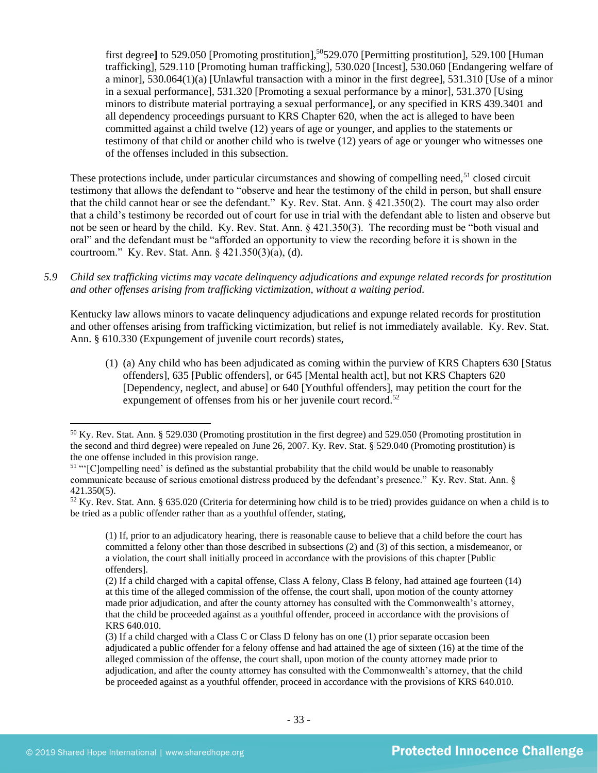first degree] to 529.050 [Promoting prostitution],<sup>50</sup>529.070 [Permitting prostitution], 529.100 [Human] trafficking], 529.110 [Promoting human trafficking], 530.020 [Incest], 530.060 [Endangering welfare of a minor], 530.064(1)(a) [Unlawful transaction with a minor in the first degree], 531.310 [Use of a minor in a sexual performance], 531.320 [Promoting a sexual performance by a minor], 531.370 [Using minors to distribute material portraying a sexual performance], or any specified in KRS 439.3401 and all dependency proceedings pursuant to KRS Chapter 620, when the act is alleged to have been committed against a child twelve (12) years of age or younger, and applies to the statements or testimony of that child or another child who is twelve (12) years of age or younger who witnesses one of the offenses included in this subsection.

These protections include, under particular circumstances and showing of compelling need,<sup>51</sup> closed circuit testimony that allows the defendant to "observe and hear the testimony of the child in person, but shall ensure that the child cannot hear or see the defendant." Ky. Rev. Stat. Ann. § 421.350(2). The court may also order that a child's testimony be recorded out of court for use in trial with the defendant able to listen and observe but not be seen or heard by the child. Ky. Rev. Stat. Ann. § 421.350(3). The recording must be "both visual and oral" and the defendant must be "afforded an opportunity to view the recording before it is shown in the courtroom." Ky. Rev. Stat. Ann. § 421.350(3)(a), (d).

*5.9 Child sex trafficking victims may vacate delinquency adjudications and expunge related records for prostitution and other offenses arising from trafficking victimization, without a waiting period.*

Kentucky law allows minors to vacate delinquency adjudications and expunge related records for prostitution and other offenses arising from trafficking victimization, but relief is not immediately available. Ky. Rev. Stat. Ann. § 610.330 (Expungement of juvenile court records) states,

(1) (a) Any child who has been adjudicated as coming within the purview of KRS Chapters 630 [Status offenders], 635 [Public offenders], or 645 [Mental health act], but not KRS Chapters 620 [Dependency, neglect, and abuse] or 640 [Youthful offenders], may petition the court for the expungement of offenses from his or her juvenile court record.<sup>52</sup>

<sup>50</sup> Ky. Rev. Stat. Ann. § 529.030 (Promoting prostitution in the first degree) and 529.050 (Promoting prostitution in the second and third degree) were repealed on June 26, 2007. Ky. Rev. Stat. § 529.040 (Promoting prostitution) is the one offense included in this provision range.

<sup>&</sup>lt;sup>51</sup> "'[C]ompelling need' is defined as the substantial probability that the child would be unable to reasonably communicate because of serious emotional distress produced by the defendant's presence." Ky. Rev. Stat. Ann. § 421.350(5).

 $52$  Ky. Rev. Stat. Ann. § 635.020 (Criteria for determining how child is to be tried) provides guidance on when a child is to be tried as a public offender rather than as a youthful offender, stating,

<sup>(1)</sup> If, prior to an adjudicatory hearing, there is reasonable cause to believe that a child before the court has committed a felony other than those described in subsections (2) and (3) of this section, a misdemeanor, or a violation, the court shall initially proceed in accordance with the provisions of this chapter [Public offenders].

<sup>(2)</sup> If a child charged with a capital offense, Class A felony, Class B felony, had attained age fourteen (14) at this time of the alleged commission of the offense, the court shall, upon motion of the county attorney made prior adjudication, and after the county attorney has consulted with the Commonwealth's attorney, that the child be proceeded against as a youthful offender, proceed in accordance with the provisions of KRS 640.010.

<sup>(3)</sup> If a child charged with a Class C or Class D felony has on one (1) prior separate occasion been adjudicated a public offender for a felony offense and had attained the age of sixteen (16) at the time of the alleged commission of the offense, the court shall, upon motion of the county attorney made prior to adjudication, and after the county attorney has consulted with the Commonwealth's attorney, that the child be proceeded against as a youthful offender, proceed in accordance with the provisions of KRS 640.010.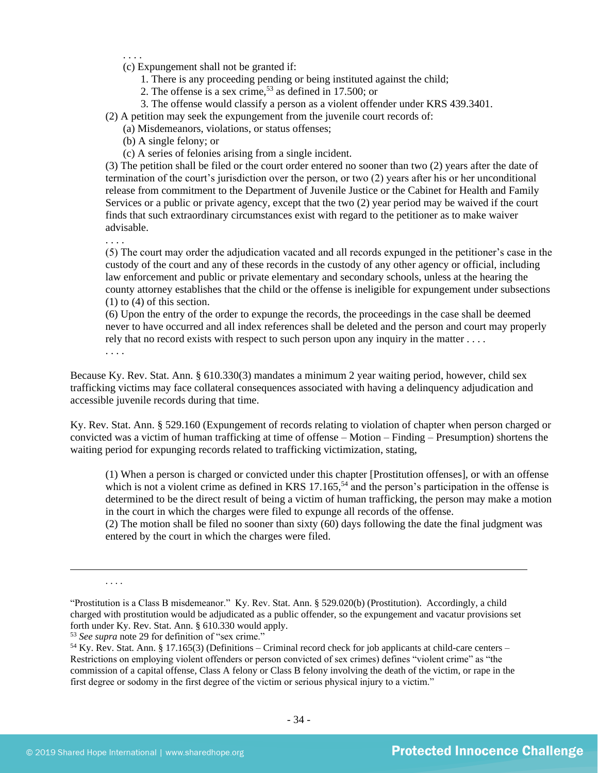. . . . (c) Expungement shall not be granted if:

- 1. There is any proceeding pending or being instituted against the child;
- 2. The offense is a sex crime,  $5<sup>3</sup>$  as defined in 17.500; or
- 3. The offense would classify a person as a violent offender under KRS 439.3401.

(2) A petition may seek the expungement from the juvenile court records of:

- (a) Misdemeanors, violations, or status offenses;
- (b) A single felony; or
- (c) A series of felonies arising from a single incident.

(3) The petition shall be filed or the court order entered no sooner than two (2) years after the date of termination of the court's jurisdiction over the person, or two (2) years after his or her unconditional release from commitment to the Department of Juvenile Justice or the Cabinet for Health and Family Services or a public or private agency, except that the two (2) year period may be waived if the court finds that such extraordinary circumstances exist with regard to the petitioner as to make waiver advisable.

. . . .

(5) The court may order the adjudication vacated and all records expunged in the petitioner's case in the custody of the court and any of these records in the custody of any other agency or official, including law enforcement and public or private elementary and secondary schools, unless at the hearing the county attorney establishes that the child or the offense is ineligible for expungement under subsections (1) to (4) of this section.

(6) Upon the entry of the order to expunge the records, the proceedings in the case shall be deemed never to have occurred and all index references shall be deleted and the person and court may properly rely that no record exists with respect to such person upon any inquiry in the matter . . . . . . . .

Because Ky. Rev. Stat. Ann. § 610.330(3) mandates a minimum 2 year waiting period, however, child sex trafficking victims may face collateral consequences associated with having a delinquency adjudication and accessible juvenile records during that time.

Ky. Rev. Stat. Ann. § 529.160 (Expungement of records relating to violation of chapter when person charged or convicted was a victim of human trafficking at time of offense – Motion – Finding – Presumption) shortens the waiting period for expunging records related to trafficking victimization, stating,

(1) When a person is charged or convicted under this chapter [Prostitution offenses], or with an offense which is not a violent crime as defined in KRS  $17.165$ ,<sup>54</sup> and the person's participation in the offense is determined to be the direct result of being a victim of human trafficking, the person may make a motion in the court in which the charges were filed to expunge all records of the offense.

(2) The motion shall be filed no sooner than sixty (60) days following the date the final judgment was entered by the court in which the charges were filed.

. . . .

<sup>&</sup>quot;Prostitution is a Class B misdemeanor." Ky. Rev. Stat. Ann. § 529.020(b) (Prostitution). Accordingly, a child charged with prostitution would be adjudicated as a public offender, so the expungement and vacatur provisions set forth under Ky. Rev. Stat. Ann. § 610.330 would apply.

<sup>53</sup> *See supra* note [29](#page-18-0) for definition of "sex crime."

<sup>54</sup> Ky. Rev. Stat. Ann. § 17.165(3) (Definitions – Criminal record check for job applicants at child-care centers – Restrictions on employing violent offenders or person convicted of sex crimes) defines "violent crime" as "the commission of a capital offense, Class A felony or Class B felony involving the death of the victim, or rape in the first degree or sodomy in the first degree of the victim or serious physical injury to a victim."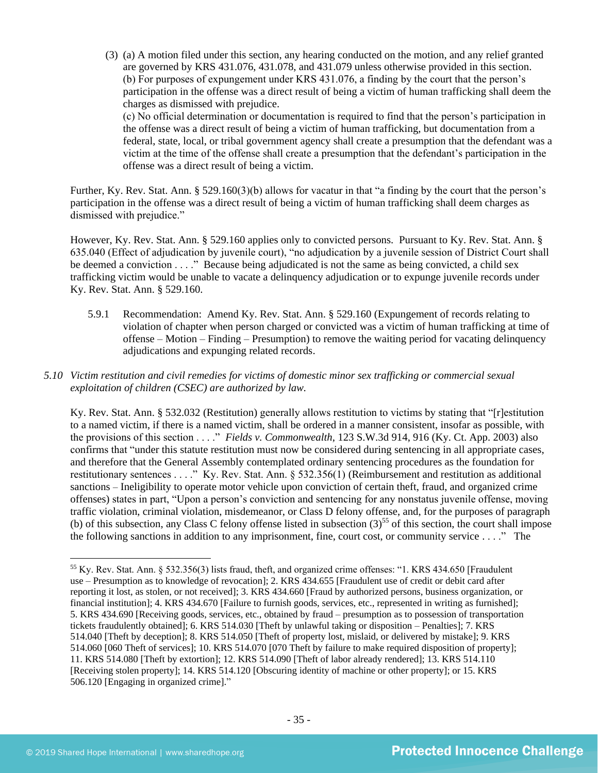(3) (a) A motion filed under this section, any hearing conducted on the motion, and any relief granted are governed by KRS 431.076, 431.078, and 431.079 unless otherwise provided in this section. (b) For purposes of expungement under KRS 431.076, a finding by the court that the person's participation in the offense was a direct result of being a victim of human trafficking shall deem the charges as dismissed with prejudice.

(c) No official determination or documentation is required to find that the person's participation in the offense was a direct result of being a victim of human trafficking, but documentation from a federal, state, local, or tribal government agency shall create a presumption that the defendant was a victim at the time of the offense shall create a presumption that the defendant's participation in the offense was a direct result of being a victim.

Further, Ky. Rev. Stat. Ann. § 529.160(3)(b) allows for vacatur in that "a finding by the court that the person's participation in the offense was a direct result of being a victim of human trafficking shall deem charges as dismissed with prejudice."

However, Ky. Rev. Stat. Ann. § 529.160 applies only to convicted persons. Pursuant to Ky. Rev. Stat. Ann. § 635.040 (Effect of adjudication by juvenile court), "no adjudication by a juvenile session of District Court shall be deemed a conviction . . . ." Because being adjudicated is not the same as being convicted, a child sex trafficking victim would be unable to vacate a delinquency adjudication or to expunge juvenile records under Ky. Rev. Stat. Ann. § 529.160.

- 5.9.1 Recommendation: Amend Ky. Rev. Stat. Ann. § 529.160 (Expungement of records relating to violation of chapter when person charged or convicted was a victim of human trafficking at time of offense – Motion – Finding – Presumption) to remove the waiting period for vacating delinquency adjudications and expunging related records.
- *5.10 Victim restitution and civil remedies for victims of domestic minor sex trafficking or commercial sexual exploitation of children (CSEC) are authorized by law.*

Ky. Rev. Stat. Ann. § 532.032 (Restitution) generally allows restitution to victims by stating that "[r]estitution to a named victim, if there is a named victim, shall be ordered in a manner consistent, insofar as possible, with the provisions of this section . . . ." *Fields v. Commonwealth*, 123 S.W.3d 914, 916 (Ky. Ct. App. 2003) also confirms that "under this statute restitution must now be considered during sentencing in all appropriate cases, and therefore that the General Assembly contemplated ordinary sentencing procedures as the foundation for restitutionary sentences . . . ." Ky. Rev. Stat. Ann. § 532.356(1) (Reimbursement and restitution as additional sanctions – Ineligibility to operate motor vehicle upon conviction of certain theft, fraud, and organized crime offenses) states in part, "Upon a person's conviction and sentencing for any nonstatus juvenile offense, moving traffic violation, criminal violation, misdemeanor, or Class D felony offense, and, for the purposes of paragraph (b) of this subsection, any Class C felony offense listed in subsection  $(3)^{55}$  of this section, the court shall impose the following sanctions in addition to any imprisonment, fine, court cost, or community service . . . ." The

<sup>55</sup> Ky. Rev. Stat. Ann. § 532.356(3) lists fraud, theft, and organized crime offenses: "1. KRS 434.650 [Fraudulent use – Presumption as to knowledge of revocation]; 2. KRS 434.655 [Fraudulent use of credit or debit card after reporting it lost, as stolen, or not received]; 3. KRS 434.660 [Fraud by authorized persons, business organization, or financial institution]; 4. KRS 434.670 [Failure to furnish goods, services, etc., represented in writing as furnished]; 5. KRS 434.690 [Receiving goods, services, etc., obtained by fraud – presumption as to possession of transportation tickets fraudulently obtained]; 6. KRS 514.030 [Theft by unlawful taking or disposition – Penalties]; 7. KRS 514.040 [Theft by deception]; 8. KRS 514.050 [Theft of property lost, mislaid, or delivered by mistake]; 9. KRS 514.060 [060 Theft of services]; 10. KRS 514.070 [070 Theft by failure to make required disposition of property]; 11. KRS 514.080 [Theft by extortion]; 12. KRS 514.090 [Theft of labor already rendered]; 13. KRS 514.110 [Receiving stolen property]; 14. KRS 514.120 [Obscuring identity of machine or other property]; or 15. KRS 506.120 [Engaging in organized crime]."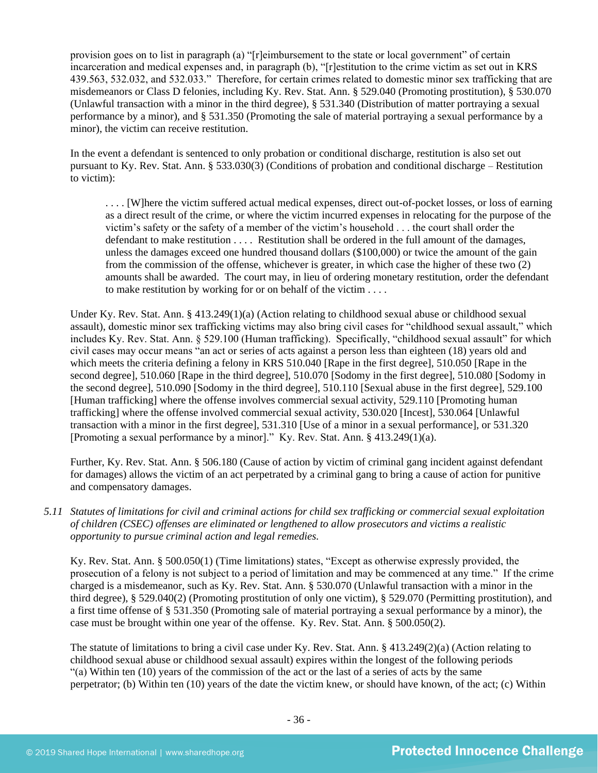provision goes on to list in paragraph (a) "[r]eimbursement to the state or local government" of certain incarceration and medical expenses and, in paragraph (b), "[r]estitution to the crime victim as set out in KRS 439.563, 532.032, and 532.033." Therefore, for certain crimes related to domestic minor sex trafficking that are misdemeanors or Class D felonies, including Ky. Rev. Stat. Ann. § 529.040 (Promoting prostitution), § 530.070 (Unlawful transaction with a minor in the third degree), § 531.340 (Distribution of matter portraying a sexual performance by a minor), and § 531.350 (Promoting the sale of material portraying a sexual performance by a minor), the victim can receive restitution.

In the event a defendant is sentenced to only probation or conditional discharge, restitution is also set out pursuant to Ky. Rev. Stat. Ann. § 533.030(3) (Conditions of probation and conditional discharge – Restitution to victim):

. . . . [W]here the victim suffered actual medical expenses, direct out-of-pocket losses, or loss of earning as a direct result of the crime, or where the victim incurred expenses in relocating for the purpose of the victim's safety or the safety of a member of the victim's household . . . the court shall order the defendant to make restitution . . . . Restitution shall be ordered in the full amount of the damages, unless the damages exceed one hundred thousand dollars (\$100,000) or twice the amount of the gain from the commission of the offense, whichever is greater, in which case the higher of these two (2) amounts shall be awarded. The court may, in lieu of ordering monetary restitution, order the defendant to make restitution by working for or on behalf of the victim . . . .

Under Ky. Rev. Stat. Ann. § 413.249(1)(a) (Action relating to childhood sexual abuse or childhood sexual assault), domestic minor sex trafficking victims may also bring civil cases for "childhood sexual assault," which includes Ky. Rev. Stat. Ann. § 529.100 (Human trafficking). Specifically, "childhood sexual assault" for which civil cases may occur means "an act or series of acts against a person less than eighteen (18) years old and which meets the criteria defining a felony in KRS 510.040 [Rape in the first degree], 510.050 [Rape in the second degree], 510.060 [Rape in the third degree], 510.070 [Sodomy in the first degree], 510.080 [Sodomy in the second degree], 510.090 [Sodomy in the third degree], 510.110 [Sexual abuse in the first degree], 529.100 [Human trafficking] where the offense involves commercial sexual activity, 529.110 [Promoting human trafficking] where the offense involved commercial sexual activity, 530.020 [Incest], 530.064 [Unlawful transaction with a minor in the first degree], 531.310 [Use of a minor in a sexual performance], or 531.320 [Promoting a sexual performance by a minor]." Ky. Rev. Stat. Ann. § 413.249(1)(a).

Further, Ky. Rev. Stat. Ann. § 506.180 (Cause of action by victim of criminal gang incident against defendant for damages) allows the victim of an act perpetrated by a criminal gang to bring a cause of action for punitive and compensatory damages.

*5.11 Statutes of limitations for civil and criminal actions for child sex trafficking or commercial sexual exploitation of children (CSEC) offenses are eliminated or lengthened to allow prosecutors and victims a realistic opportunity to pursue criminal action and legal remedies.*

Ky. Rev. Stat. Ann. § 500.050(1) (Time limitations) states, "Except as otherwise expressly provided, the prosecution of a felony is not subject to a period of limitation and may be commenced at any time." If the crime charged is a misdemeanor, such as Ky. Rev. Stat. Ann. § 530.070 (Unlawful transaction with a minor in the third degree), § 529.040(2) (Promoting prostitution of only one victim), § 529.070 (Permitting prostitution), and a first time offense of § 531.350 (Promoting sale of material portraying a sexual performance by a minor), the case must be brought within one year of the offense. Ky. Rev. Stat. Ann. § 500.050(2).

The statute of limitations to bring a civil case under Ky. Rev. Stat. Ann. § 413.249(2)(a) (Action relating to childhood sexual abuse or childhood sexual assault) expires within the longest of the following periods "(a) Within ten (10) years of the commission of the act or the last of a series of acts by the same perpetrator; (b) Within ten (10) years of the date the victim knew, or should have known, of the act; (c) Within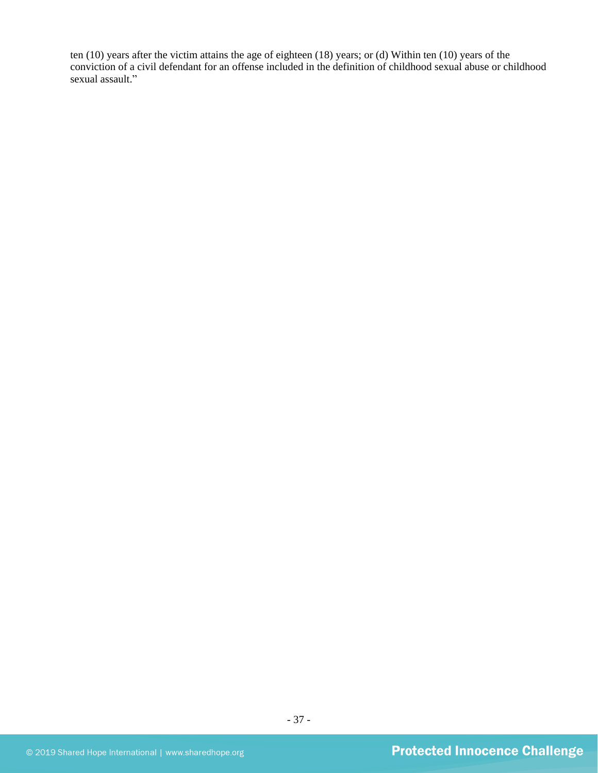ten (10) years after the victim attains the age of eighteen (18) years; or (d) Within ten (10) years of the conviction of a civil defendant for an offense included in the definition of childhood sexual abuse or childhood sexual assault."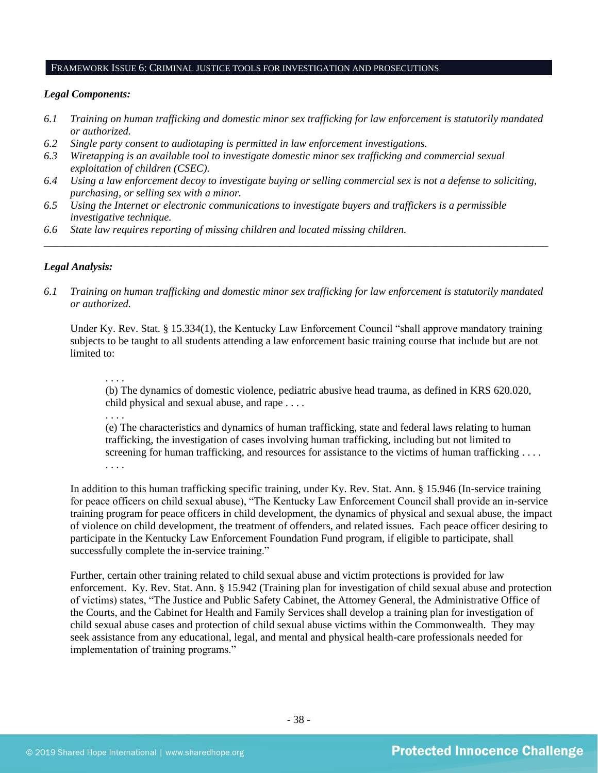#### FRAMEWORK ISSUE 6: CRIMINAL JUSTICE TOOLS FOR INVESTIGATION AND PROSECUTIONS

#### *Legal Components:*

- *6.1 Training on human trafficking and domestic minor sex trafficking for law enforcement is statutorily mandated or authorized.*
- *6.2 Single party consent to audiotaping is permitted in law enforcement investigations.*
- *6.3 Wiretapping is an available tool to investigate domestic minor sex trafficking and commercial sexual exploitation of children (CSEC).*
- *6.4 Using a law enforcement decoy to investigate buying or selling commercial sex is not a defense to soliciting, purchasing, or selling sex with a minor.*
- *6.5 Using the Internet or electronic communications to investigate buyers and traffickers is a permissible investigative technique.*
- *6.6 State law requires reporting of missing children and located missing children.*

#### *Legal Analysis:*

*6.1 Training on human trafficking and domestic minor sex trafficking for law enforcement is statutorily mandated or authorized.*

*\_\_\_\_\_\_\_\_\_\_\_\_\_\_\_\_\_\_\_\_\_\_\_\_\_\_\_\_\_\_\_\_\_\_\_\_\_\_\_\_\_\_\_\_\_\_\_\_\_\_\_\_\_\_\_\_\_\_\_\_\_\_\_\_\_\_\_\_\_\_\_\_\_\_\_\_\_\_\_\_\_\_\_\_\_\_\_\_\_\_\_\_\_\_*

Under Ky. Rev. Stat. § 15.334(1), the Kentucky Law Enforcement Council "shall approve mandatory training subjects to be taught to all students attending a law enforcement basic training course that include but are not limited to:

. . . .

. . . .

(b) The dynamics of domestic violence, pediatric abusive head trauma, as defined in KRS 620.020, child physical and sexual abuse, and rape . . . .

(e) The characteristics and dynamics of human trafficking, state and federal laws relating to human trafficking, the investigation of cases involving human trafficking, including but not limited to screening for human trafficking, and resources for assistance to the victims of human trafficking . . . . . . . .

In addition to this human trafficking specific training, under Ky. Rev. Stat. Ann. § 15.946 (In-service training for peace officers on child sexual abuse), "The Kentucky Law Enforcement Council shall provide an in-service training program for peace officers in child development, the dynamics of physical and sexual abuse, the impact of violence on child development, the treatment of offenders, and related issues. Each peace officer desiring to participate in the Kentucky Law Enforcement Foundation Fund program, if eligible to participate, shall successfully complete the in-service training."

Further, certain other training related to child sexual abuse and victim protections is provided for law enforcement. Ky. Rev. Stat. Ann. § 15.942 (Training plan for investigation of child sexual abuse and protection of victims) states, "The Justice and Public Safety Cabinet, the Attorney General, the Administrative Office of the Courts, and the Cabinet for Health and Family Services shall develop a training plan for investigation of child sexual abuse cases and protection of child sexual abuse victims within the Commonwealth. They may seek assistance from any educational, legal, and mental and physical health-care professionals needed for implementation of training programs."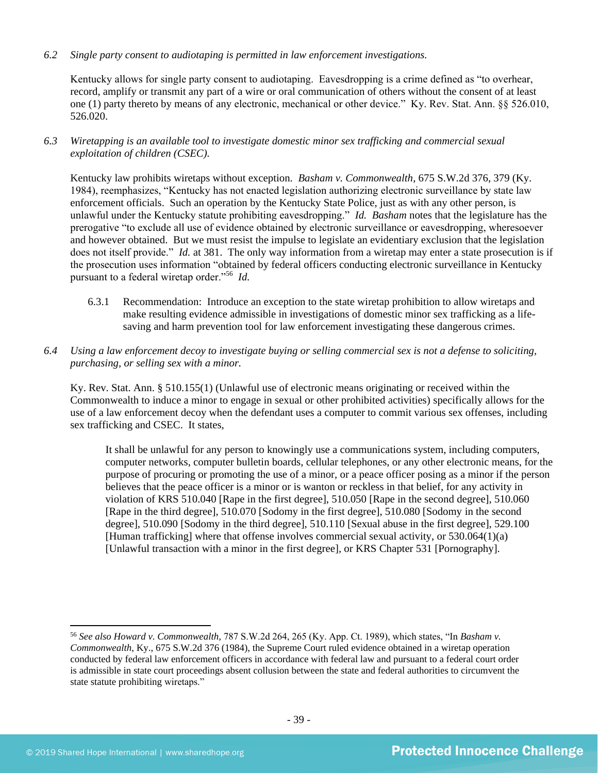*6.2 Single party consent to audiotaping is permitted in law enforcement investigations.*

Kentucky allows for single party consent to audiotaping. Eavesdropping is a crime defined as "to overhear, record, amplify or transmit any part of a wire or oral communication of others without the consent of at least one (1) party thereto by means of any electronic, mechanical or other device." Ky. Rev. Stat. Ann. §§ 526.010, 526.020.

*6.3 Wiretapping is an available tool to investigate domestic minor sex trafficking and commercial sexual exploitation of children (CSEC).* 

Kentucky law prohibits wiretaps without exception. *Basham v. Commonwealth*, 675 S.W.2d 376, 379 (Ky. 1984), reemphasizes, "Kentucky has not enacted legislation authorizing electronic surveillance by state law enforcement officials. Such an operation by the Kentucky State Police, just as with any other person, is unlawful under the Kentucky statute prohibiting eavesdropping." *Id. Basham* notes that the legislature has the prerogative "to exclude all use of evidence obtained by electronic surveillance or eavesdropping, wheresoever and however obtained. But we must resist the impulse to legislate an evidentiary exclusion that the legislation does not itself provide." *Id.* at 381. The only way information from a wiretap may enter a state prosecution is if the prosecution uses information "obtained by federal officers conducting electronic surveillance in Kentucky pursuant to a federal wiretap order."<sup>56</sup> *Id.*

- 6.3.1 Recommendation: Introduce an exception to the state wiretap prohibition to allow wiretaps and make resulting evidence admissible in investigations of domestic minor sex trafficking as a lifesaving and harm prevention tool for law enforcement investigating these dangerous crimes.
- *6.4 Using a law enforcement decoy to investigate buying or selling commercial sex is not a defense to soliciting, purchasing, or selling sex with a minor.*

Ky. Rev. Stat. Ann. § 510.155(1) (Unlawful use of electronic means originating or received within the Commonwealth to induce a minor to engage in sexual or other prohibited activities) specifically allows for the use of a law enforcement decoy when the defendant uses a computer to commit various sex offenses, including sex trafficking and CSEC. It states,

It shall be unlawful for any person to knowingly use a communications system, including computers, computer networks, computer bulletin boards, cellular telephones, or any other electronic means, for the purpose of procuring or promoting the use of a minor, or a peace officer posing as a minor if the person believes that the peace officer is a minor or is wanton or reckless in that belief, for any activity in violation of KRS 510.040 [Rape in the first degree], 510.050 [Rape in the second degree], 510.060 [Rape in the third degree], 510.070 [Sodomy in the first degree], 510.080 [Sodomy in the second degree], 510.090 [Sodomy in the third degree], 510.110 [Sexual abuse in the first degree], 529.100 [Human trafficking] where that offense involves commercial sexual activity, or 530.064(1)(a) [Unlawful transaction with a minor in the first degree], or KRS Chapter 531 [Pornography].

<sup>56</sup> *See also Howard v. Commonwealth,* 787 S.W.2d 264, 265 (Ky. App. Ct. 1989), which states, "In *Basham v. Commonwealth*, Ky., 675 S.W.2d 376 (1984), the Supreme Court ruled evidence obtained in a wiretap operation conducted by federal law enforcement officers in accordance with federal law and pursuant to a federal court order is admissible in state court proceedings absent collusion between the state and federal authorities to circumvent the state statute prohibiting wiretaps."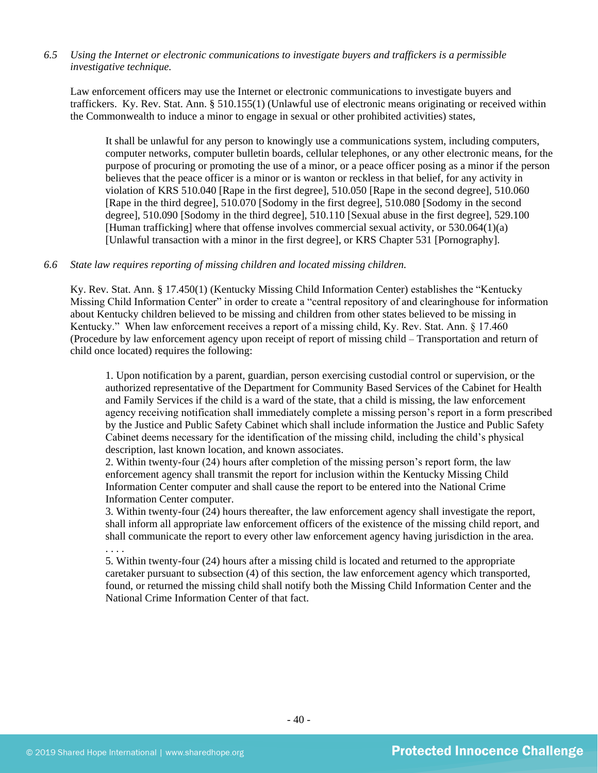## *6.5 Using the Internet or electronic communications to investigate buyers and traffickers is a permissible investigative technique.*

Law enforcement officers may use the Internet or electronic communications to investigate buyers and traffickers. Ky. Rev. Stat. Ann. § 510.155(1) (Unlawful use of electronic means originating or received within the Commonwealth to induce a minor to engage in sexual or other prohibited activities) states,

It shall be unlawful for any person to knowingly use a communications system, including computers, computer networks, computer bulletin boards, cellular telephones, or any other electronic means, for the purpose of procuring or promoting the use of a minor, or a peace officer posing as a minor if the person believes that the peace officer is a minor or is wanton or reckless in that belief, for any activity in violation of KRS 510.040 [Rape in the first degree], 510.050 [Rape in the second degree], 510.060 [Rape in the third degree], 510.070 [Sodomy in the first degree], 510.080 [Sodomy in the second degree], 510.090 [Sodomy in the third degree], 510.110 [Sexual abuse in the first degree], 529.100 [Human trafficking] where that offense involves commercial sexual activity, or 530.064(1)(a) [Unlawful transaction with a minor in the first degree], or KRS Chapter 531 [Pornography].

## *6.6 State law requires reporting of missing children and located missing children.*

Ky. Rev. Stat. Ann. § 17.450(1) (Kentucky Missing Child Information Center) establishes the "Kentucky Missing Child Information Center" in order to create a "central repository of and clearinghouse for information about Kentucky children believed to be missing and children from other states believed to be missing in Kentucky." When law enforcement receives a report of a missing child, Ky. Rev. Stat. Ann. § 17.460 (Procedure by law enforcement agency upon receipt of report of missing child – Transportation and return of child once located) requires the following:

1. Upon notification by a parent, guardian, person exercising custodial control or supervision, or the authorized representative of the Department for Community Based Services of the Cabinet for Health and Family Services if the child is a ward of the state, that a child is missing, the law enforcement agency receiving notification shall immediately complete a missing person's report in a form prescribed by the Justice and Public Safety Cabinet which shall include information the Justice and Public Safety Cabinet deems necessary for the identification of the missing child, including the child's physical description, last known location, and known associates.

2. Within twenty-four (24) hours after completion of the missing person's report form, the law enforcement agency shall transmit the report for inclusion within the Kentucky Missing Child Information Center computer and shall cause the report to be entered into the National Crime Information Center computer.

3. Within twenty-four (24) hours thereafter, the law enforcement agency shall investigate the report, shall inform all appropriate law enforcement officers of the existence of the missing child report, and shall communicate the report to every other law enforcement agency having jurisdiction in the area. . . . .

5. Within twenty-four (24) hours after a missing child is located and returned to the appropriate caretaker pursuant to subsection (4) of this section, the law enforcement agency which transported, found, or returned the missing child shall notify both the Missing Child Information Center and the National Crime Information Center of that fact.